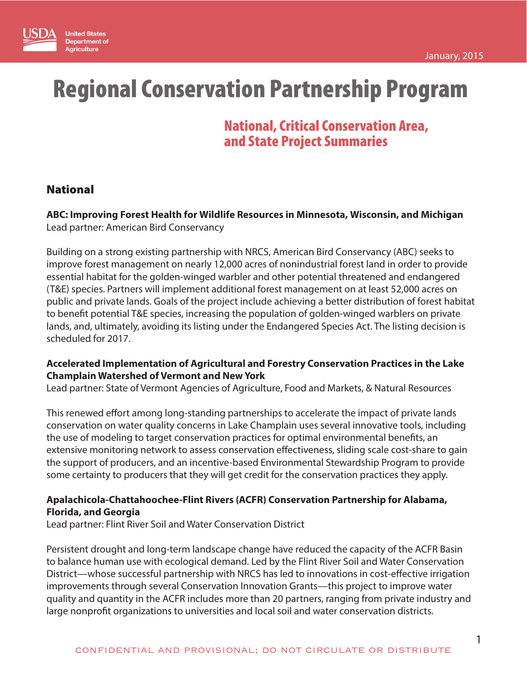

# Regional Conservation Partnership Program

## National, Critical Conservation Area, and State Project Summaries

## National

**ABC: Improving Forest Health for Wildlife Resources in Minnesota, Wisconsin, and Michigan** Lead partner: American Bird Conservancy

Building on a strong existing partnership with NRCS, American Bird Conservancy (ABC) seeks to improve forest management on nearly 12,000 acres of nonindustrial forest land in order to provide essential habitat for the golden-winged warbler and other potential threatened and endangered (T&E) species. Partners will implement additional forest management on at least 52,000 acres on public and private lands. Goals of the project include achieving a better distribution of forest habitat to benefit potential T&E species, increasing the population of golden-winged warblers on private lands, and, ultimately, avoiding its listing under the Endangered Species Act. The listing decision is scheduled for 2017.

## **Accelerated Implementation of Agricultural and Forestry Conservation Practices in the Lake Champlain Watershed of Vermont and New York**

Lead partner: State of Vermont Agencies of Agriculture, Food and Markets, & Natural Resources

This renewed effort among long-standing partnerships to accelerate the impact of private lands conservation on water quality concerns in Lake Champlain uses several innovative tools, including the use of modeling to target conservation practices for optimal environmental benefits, an extensive monitoring network to assess conservation effectiveness, sliding scale cost-share to gain the support of producers, and an incentive-based Environmental Stewardship Program to provide some certainty to producers that they will get credit for the conservation practices they apply.

## **Apalachicola-Chattahoochee-Flint Rivers (ACFR) Conservation Partnership for Alabama, Florida, and Georgia**

Lead partner: Flint River Soil and Water Conservation District

Persistent drought and long-term landscape change have reduced the capacity of the ACFR Basin to balance human use with ecological demand. Led by the Flint River Soil and Water Conservation District—whose successful partnership with NRCS has led to innovations in cost-effective irrigation improvements through several Conservation Innovation Grants—this project to improve water quality and quantity in the ACFR includes more than 20 partners, ranging from private industry and large nonprofit organizations to universities and local soil and water conservation districts.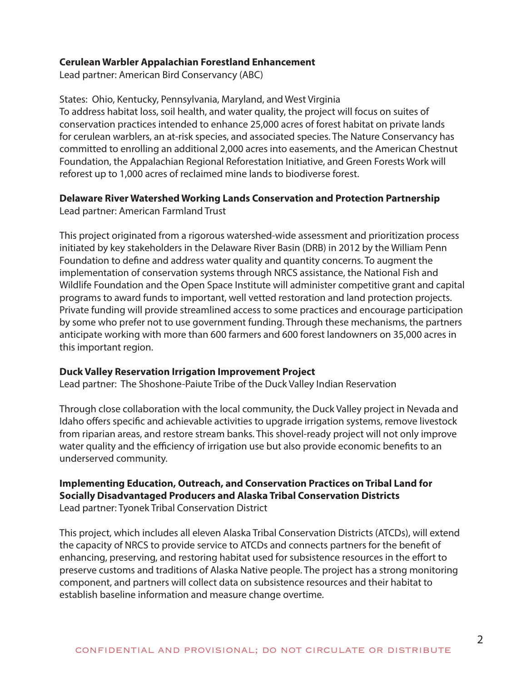#### **Cerulean Warbler Appalachian Forestland Enhancement**

Lead partner: American Bird Conservancy (ABC)

States: Ohio, Kentucky, Pennsylvania, Maryland, and West Virginia To address habitat loss, soil health, and water quality, the project will focus on suites of conservation practices intended to enhance 25,000 acres of forest habitat on private lands for cerulean warblers, an at-risk species, and associated species. The Nature Conservancy has committed to enrolling an additional 2,000 acres into easements, and the American Chestnut Foundation, the Appalachian Regional Reforestation Initiative, and Green Forests Work will reforest up to 1,000 acres of reclaimed mine lands to biodiverse forest.

## **Delaware River Watershed Working Lands Conservation and Protection Partnership**

Lead partner: American Farmland Trust

This project originated from a rigorous watershed-wide assessment and prioritization process initiated by key stakeholders in the Delaware River Basin (DRB) in 2012 by the William Penn Foundation to define and address water quality and quantity concerns. To augment the implementation of conservation systems through NRCS assistance, the National Fish and Wildlife Foundation and the Open Space Institute will administer competitive grant and capital programs to award funds to important, well vetted restoration and land protection projects. Private funding will provide streamlined access to some practices and encourage participation by some who prefer not to use government funding. Through these mechanisms, the partners anticipate working with more than 600 farmers and 600 forest landowners on 35,000 acres in this important region.

## **Duck Valley Reservation Irrigation Improvement Project**

Lead partner: The Shoshone-Paiute Tribe of the Duck Valley Indian Reservation

Through close collaboration with the local community, the Duck Valley project in Nevada and Idaho offers specific and achievable activities to upgrade irrigation systems, remove livestock from riparian areas, and restore stream banks. This shovel-ready project will not only improve water quality and the efficiency of irrigation use but also provide economic benefits to an underserved community.

## **Implementing Education, Outreach, and Conservation Practices on Tribal Land for Socially Disadvantaged Producers and Alaska Tribal Conservation Districts**  Lead partner: Tyonek Tribal Conservation District

This project, which includes all eleven Alaska Tribal Conservation Districts (ATCDs), will extend the capacity of NRCS to provide service to ATCDs and connects partners for the benefit of enhancing, preserving, and restoring habitat used for subsistence resources in the effort to preserve customs and traditions of Alaska Native people. The project has a strong monitoring component, and partners will collect data on subsistence resources and their habitat to establish baseline information and measure change overtime.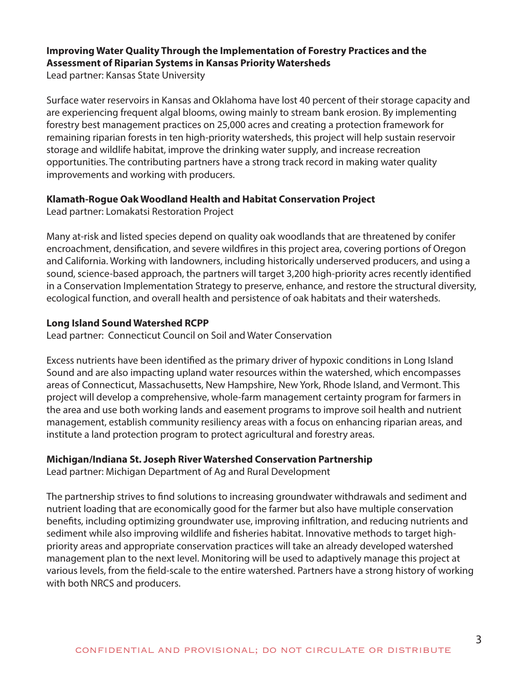## **Improving Water Quality Through the Implementation of Forestry Practices and the Assessment of Riparian Systems in Kansas Priority Watersheds**

Lead partner: Kansas State University

Surface water reservoirs in Kansas and Oklahoma have lost 40 percent of their storage capacity and are experiencing frequent algal blooms, owing mainly to stream bank erosion. By implementing forestry best management practices on 25,000 acres and creating a protection framework for remaining riparian forests in ten high-priority watersheds, this project will help sustain reservoir storage and wildlife habitat, improve the drinking water supply, and increase recreation opportunities. The contributing partners have a strong track record in making water quality improvements and working with producers.

## **Klamath-Rogue Oak Woodland Health and Habitat Conservation Project**

Lead partner: Lomakatsi Restoration Project

Many at-risk and listed species depend on quality oak woodlands that are threatened by conifer encroachment, densification, and severe wildfires in this project area, covering portions of Oregon and California. Working with landowners, including historically underserved producers, and using a sound, science-based approach, the partners will target 3,200 high-priority acres recently identified in a Conservation Implementation Strategy to preserve, enhance, and restore the structural diversity, ecological function, and overall health and persistence of oak habitats and their watersheds.

## **Long Island Sound Watershed RCPP**

Lead partner: Connecticut Council on Soil and Water Conservation

Excess nutrients have been identified as the primary driver of hypoxic conditions in Long Island Sound and are also impacting upland water resources within the watershed, which encompasses areas of Connecticut, Massachusetts, New Hampshire, New York, Rhode Island, and Vermont. This project will develop a comprehensive, whole-farm management certainty program for farmers in the area and use both working lands and easement programs to improve soil health and nutrient management, establish community resiliency areas with a focus on enhancing riparian areas, and institute a land protection program to protect agricultural and forestry areas.

## **Michigan/Indiana St. Joseph River Watershed Conservation Partnership**

Lead partner: Michigan Department of Ag and Rural Development

The partnership strives to find solutions to increasing groundwater withdrawals and sediment and nutrient loading that are economically good for the farmer but also have multiple conservation benefits, including optimizing groundwater use, improving infiltration, and reducing nutrients and sediment while also improving wildlife and fisheries habitat. Innovative methods to target highpriority areas and appropriate conservation practices will take an already developed watershed management plan to the next level. Monitoring will be used to adaptively manage this project at various levels, from the field-scale to the entire watershed. Partners have a strong history of working with both NRCS and producers.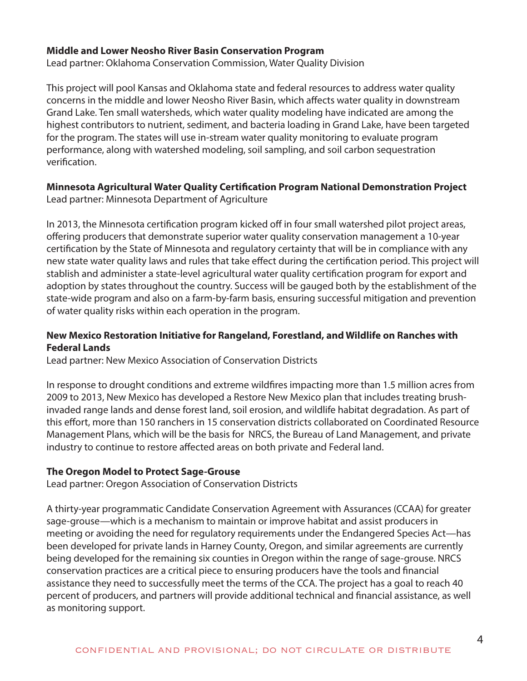#### **Middle and Lower Neosho River Basin Conservation Program**

Lead partner: Oklahoma Conservation Commission, Water Quality Division

This project will pool Kansas and Oklahoma state and federal resources to address water quality concerns in the middle and lower Neosho River Basin, which affects water quality in downstream Grand Lake. Ten small watersheds, which water quality modeling have indicated are among the highest contributors to nutrient, sediment, and bacteria loading in Grand Lake, have been targeted for the program. The states will use in-stream water quality monitoring to evaluate program performance, along with watershed modeling, soil sampling, and soil carbon sequestration verification.

## **Minnesota Agricultural Water Quality Certification Program National Demonstration Project**

Lead partner: Minnesota Department of Agriculture

In 2013, the Minnesota certification program kicked off in four small watershed pilot project areas, offering producers that demonstrate superior water quality conservation management a 10-year certification by the State of Minnesota and regulatory certainty that will be in compliance with any new state water quality laws and rules that take effect during the certification period. This project will stablish and administer a state-level agricultural water quality certification program for export and adoption by states throughout the country. Success will be gauged both by the establishment of the state-wide program and also on a farm-by-farm basis, ensuring successful mitigation and prevention of water quality risks within each operation in the program.

## **New Mexico Restoration Initiative for Rangeland, Forestland, and Wildlife on Ranches with Federal Lands**

Lead partner: New Mexico Association of Conservation Districts

In response to drought conditions and extreme wildfires impacting more than 1.5 million acres from 2009 to 2013, New Mexico has developed a Restore New Mexico plan that includes treating brushinvaded range lands and dense forest land, soil erosion, and wildlife habitat degradation. As part of this effort, more than 150 ranchers in 15 conservation districts collaborated on Coordinated Resource Management Plans, which will be the basis for NRCS, the Bureau of Land Management, and private industry to continue to restore affected areas on both private and Federal land.

## **The Oregon Model to Protect Sage-Grouse**

Lead partner: Oregon Association of Conservation Districts

A thirty-year programmatic Candidate Conservation Agreement with Assurances (CCAA) for greater sage-grouse—which is a mechanism to maintain or improve habitat and assist producers in meeting or avoiding the need for regulatory requirements under the Endangered Species Act—has been developed for private lands in Harney County, Oregon, and similar agreements are currently being developed for the remaining six counties in Oregon within the range of sage-grouse. NRCS conservation practices are a critical piece to ensuring producers have the tools and financial assistance they need to successfully meet the terms of the CCA. The project has a goal to reach 40 percent of producers, and partners will provide additional technical and financial assistance, as well as monitoring support.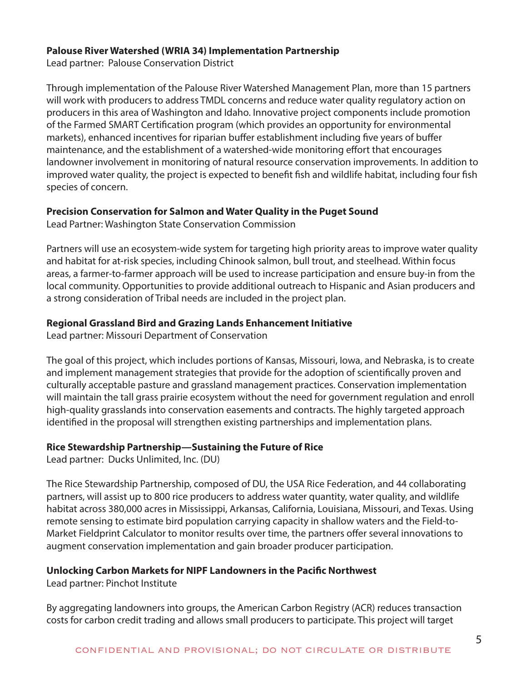#### **Palouse River Watershed (WRIA 34) Implementation Partnership**

Lead partner: Palouse Conservation District

Through implementation of the Palouse River Watershed Management Plan, more than 15 partners will work with producers to address TMDL concerns and reduce water quality regulatory action on producers in this area of Washington and Idaho. Innovative project components include promotion of the Farmed SMART Certification program (which provides an opportunity for environmental markets), enhanced incentives for riparian buffer establishment including five years of buffer maintenance, and the establishment of a watershed-wide monitoring effort that encourages landowner involvement in monitoring of natural resource conservation improvements. In addition to improved water quality, the project is expected to benefit fish and wildlife habitat, including four fish species of concern.

## **Precision Conservation for Salmon and Water Quality in the Puget Sound**

Lead Partner: Washington State Conservation Commission

Partners will use an ecosystem-wide system for targeting high priority areas to improve water quality and habitat for at-risk species, including Chinook salmon, bull trout, and steelhead. Within focus areas, a farmer-to-farmer approach will be used to increase participation and ensure buy-in from the local community. Opportunities to provide additional outreach to Hispanic and Asian producers and a strong consideration of Tribal needs are included in the project plan.

## **Regional Grassland Bird and Grazing Lands Enhancement Initiative**

Lead partner: Missouri Department of Conservation

The goal of this project, which includes portions of Kansas, Missouri, Iowa, and Nebraska, is to create and implement management strategies that provide for the adoption of scientifically proven and culturally acceptable pasture and grassland management practices. Conservation implementation will maintain the tall grass prairie ecosystem without the need for government regulation and enroll high-quality grasslands into conservation easements and contracts. The highly targeted approach identified in the proposal will strengthen existing partnerships and implementation plans.

## **Rice Stewardship Partnership—Sustaining the Future of Rice**

Lead partner: Ducks Unlimited, Inc. (DU)

The Rice Stewardship Partnership, composed of DU, the USA Rice Federation, and 44 collaborating partners, will assist up to 800 rice producers to address water quantity, water quality, and wildlife habitat across 380,000 acres in Mississippi, Arkansas, California, Louisiana, Missouri, and Texas. Using remote sensing to estimate bird population carrying capacity in shallow waters and the Field-to-Market Fieldprint Calculator to monitor results over time, the partners offer several innovations to augment conservation implementation and gain broader producer participation.

## **Unlocking Carbon Markets for NIPF Landowners in the Pacific Northwest**

Lead partner: Pinchot Institute

By aggregating landowners into groups, the American Carbon Registry (ACR) reduces transaction costs for carbon credit trading and allows small producers to participate. This project will target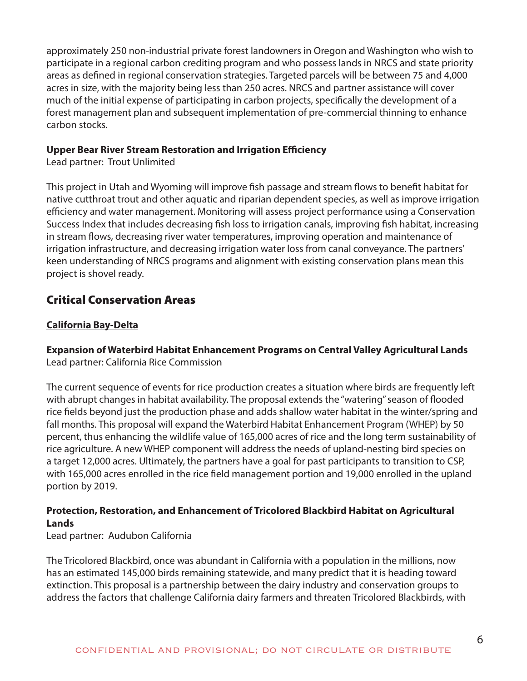approximately 250 non-industrial private forest landowners in Oregon and Washington who wish to participate in a regional carbon crediting program and who possess lands in NRCS and state priority areas as defined in regional conservation strategies. Targeted parcels will be between 75 and 4,000 acres in size, with the majority being less than 250 acres. NRCS and partner assistance will cover much of the initial expense of participating in carbon projects, specifically the development of a forest management plan and subsequent implementation of pre-commercial thinning to enhance carbon stocks.

#### **Upper Bear River Stream Restoration and Irrigation Efficiency**

Lead partner: Trout Unlimited

This project in Utah and Wyoming will improve fish passage and stream flows to benefit habitat for native cutthroat trout and other aquatic and riparian dependent species, as well as improve irrigation efficiency and water management. Monitoring will assess project performance using a Conservation Success Index that includes decreasing fish loss to irrigation canals, improving fish habitat, increasing in stream flows, decreasing river water temperatures, improving operation and maintenance of irrigation infrastructure, and decreasing irrigation water loss from canal conveyance. The partners' keen understanding of NRCS programs and alignment with existing conservation plans mean this project is shovel ready.

## Critical Conservation Areas

## **California Bay-Delta**

**Expansion of Waterbird Habitat Enhancement Programs on Central Valley Agricultural Lands**  Lead partner: California Rice Commission

The current sequence of events for rice production creates a situation where birds are frequently left with abrupt changes in habitat availability. The proposal extends the "watering" season of flooded rice fields beyond just the production phase and adds shallow water habitat in the winter/spring and fall months. This proposal will expand the Waterbird Habitat Enhancement Program (WHEP) by 50 percent, thus enhancing the wildlife value of 165,000 acres of rice and the long term sustainability of rice agriculture. A new WHEP component will address the needs of upland-nesting bird species on a target 12,000 acres. Ultimately, the partners have a goal for past participants to transition to CSP, with 165,000 acres enrolled in the rice field management portion and 19,000 enrolled in the upland portion by 2019.

## **Protection, Restoration, and Enhancement of Tricolored Blackbird Habitat on Agricultural Lands**

Lead partner: Audubon California

The Tricolored Blackbird, once was abundant in California with a population in the millions, now has an estimated 145,000 birds remaining statewide, and many predict that it is heading toward extinction. This proposal is a partnership between the dairy industry and conservation groups to address the factors that challenge California dairy farmers and threaten Tricolored Blackbirds, with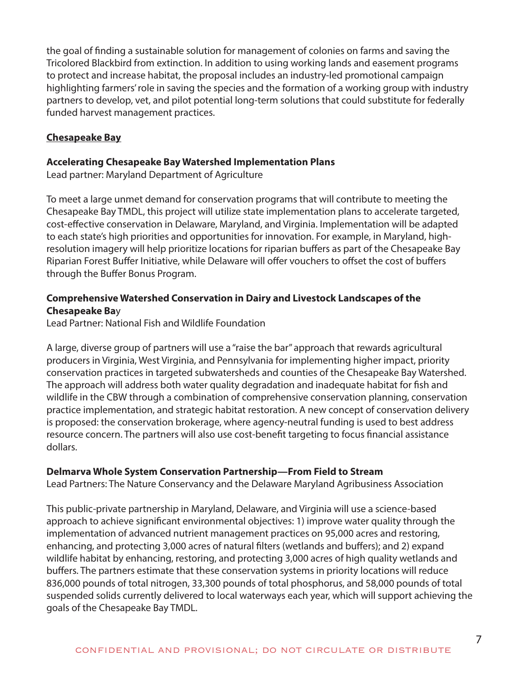the goal of finding a sustainable solution for management of colonies on farms and saving the Tricolored Blackbird from extinction. In addition to using working lands and easement programs to protect and increase habitat, the proposal includes an industry-led promotional campaign highlighting farmers' role in saving the species and the formation of a working group with industry partners to develop, vet, and pilot potential long-term solutions that could substitute for federally funded harvest management practices.

## **Chesapeake Bay**

#### **Accelerating Chesapeake Bay Watershed Implementation Plans**

Lead partner: Maryland Department of Agriculture

To meet a large unmet demand for conservation programs that will contribute to meeting the Chesapeake Bay TMDL, this project will utilize state implementation plans to accelerate targeted, cost-effective conservation in Delaware, Maryland, and Virginia. Implementation will be adapted to each state's high priorities and opportunities for innovation. For example, in Maryland, highresolution imagery will help prioritize locations for riparian buffers as part of the Chesapeake Bay Riparian Forest Buffer Initiative, while Delaware will offer vouchers to offset the cost of buffers through the Buffer Bonus Program.

## **Comprehensive Watershed Conservation in Dairy and Livestock Landscapes of the Chesapeake Ba**y

Lead Partner: National Fish and Wildlife Foundation

A large, diverse group of partners will use a "raise the bar" approach that rewards agricultural producers in Virginia, West Virginia, and Pennsylvania for implementing higher impact, priority conservation practices in targeted subwatersheds and counties of the Chesapeake Bay Watershed. The approach will address both water quality degradation and inadequate habitat for fish and wildlife in the CBW through a combination of comprehensive conservation planning, conservation practice implementation, and strategic habitat restoration. A new concept of conservation delivery is proposed: the conservation brokerage, where agency-neutral funding is used to best address resource concern. The partners will also use cost-benefit targeting to focus financial assistance dollars.

## **Delmarva Whole System Conservation Partnership—From Field to Stream**

Lead Partners: The Nature Conservancy and the Delaware Maryland Agribusiness Association

This public-private partnership in Maryland, Delaware, and Virginia will use a science-based approach to achieve significant environmental objectives: 1) improve water quality through the implementation of advanced nutrient management practices on 95,000 acres and restoring, enhancing, and protecting 3,000 acres of natural filters (wetlands and buffers); and 2) expand wildlife habitat by enhancing, restoring, and protecting 3,000 acres of high quality wetlands and buffers. The partners estimate that these conservation systems in priority locations will reduce 836,000 pounds of total nitrogen, 33,300 pounds of total phosphorus, and 58,000 pounds of total suspended solids currently delivered to local waterways each year, which will support achieving the goals of the Chesapeake Bay TMDL.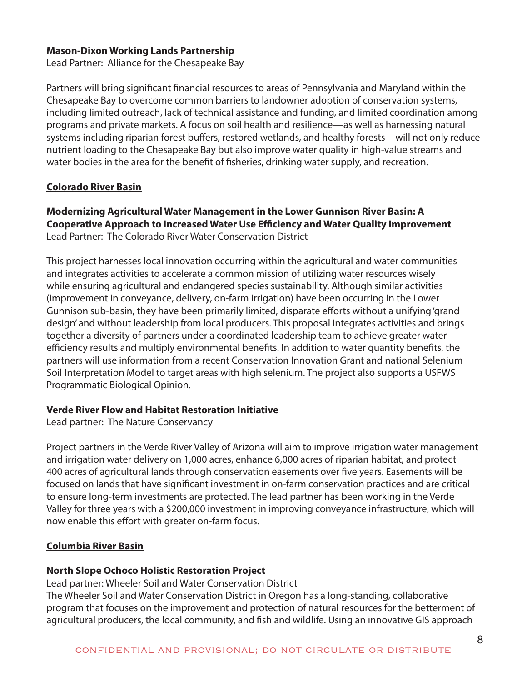#### **Mason-Dixon Working Lands Partnership**

Lead Partner: Alliance for the Chesapeake Bay

Partners will bring significant financial resources to areas of Pennsylvania and Maryland within the Chesapeake Bay to overcome common barriers to landowner adoption of conservation systems, including limited outreach, lack of technical assistance and funding, and limited coordination among programs and private markets. A focus on soil health and resilience—as well as harnessing natural systems including riparian forest buffers, restored wetlands, and healthy forests—will not only reduce nutrient loading to the Chesapeake Bay but also improve water quality in high-value streams and water bodies in the area for the benefit of fisheries, drinking water supply, and recreation.

#### **Colorado River Basin**

**Modernizing Agricultural Water Management in the Lower Gunnison River Basin: A Cooperative Approach to Increased Water Use Efficiency and Water Quality Improvement**  Lead Partner: The Colorado River Water Conservation District

This project harnesses local innovation occurring within the agricultural and water communities and integrates activities to accelerate a common mission of utilizing water resources wisely while ensuring agricultural and endangered species sustainability. Although similar activities (improvement in conveyance, delivery, on-farm irrigation) have been occurring in the Lower Gunnison sub-basin, they have been primarily limited, disparate efforts without a unifying 'grand design' and without leadership from local producers. This proposal integrates activities and brings together a diversity of partners under a coordinated leadership team to achieve greater water efficiency results and multiply environmental benefits. In addition to water quantity benefits, the partners will use information from a recent Conservation Innovation Grant and national Selenium Soil Interpretation Model to target areas with high selenium. The project also supports a USFWS Programmatic Biological Opinion.

#### **Verde River Flow and Habitat Restoration Initiative**

Lead partner: The Nature Conservancy

Project partners in the Verde River Valley of Arizona will aim to improve irrigation water management and irrigation water delivery on 1,000 acres, enhance 6,000 acres of riparian habitat, and protect 400 acres of agricultural lands through conservation easements over five years. Easements will be focused on lands that have significant investment in on-farm conservation practices and are critical to ensure long-term investments are protected. The lead partner has been working in the Verde Valley for three years with a \$200,000 investment in improving conveyance infrastructure, which will now enable this effort with greater on-farm focus.

## **Columbia River Basin**

## **North Slope Ochoco Holistic Restoration Project**

Lead partner: Wheeler Soil and Water Conservation District

The Wheeler Soil and Water Conservation District in Oregon has a long-standing, collaborative program that focuses on the improvement and protection of natural resources for the betterment of agricultural producers, the local community, and fish and wildlife. Using an innovative GIS approach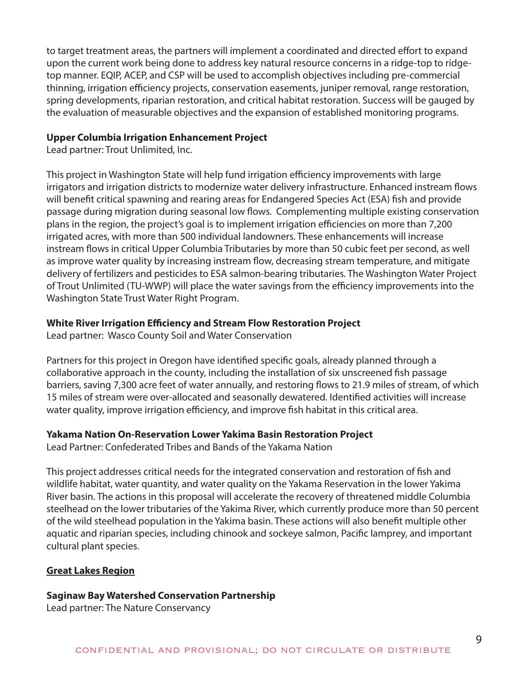to target treatment areas, the partners will implement a coordinated and directed effort to expand upon the current work being done to address key natural resource concerns in a ridge-top to ridgetop manner. EQIP, ACEP, and CSP will be used to accomplish objectives including pre-commercial thinning, irrigation efficiency projects, conservation easements, juniper removal, range restoration, spring developments, riparian restoration, and critical habitat restoration. Success will be gauged by the evaluation of measurable objectives and the expansion of established monitoring programs.

#### **Upper Columbia Irrigation Enhancement Project**

Lead partner: Trout Unlimited, Inc.

This project in Washington State will help fund irrigation efficiency improvements with large irrigators and irrigation districts to modernize water delivery infrastructure. Enhanced instream flows will benefit critical spawning and rearing areas for Endangered Species Act (ESA) fish and provide passage during migration during seasonal low flows. Complementing multiple existing conservation plans in the region, the project's goal is to implement irrigation efficiencies on more than 7,200 irrigated acres, with more than 500 individual landowners. These enhancements will increase instream flows in critical Upper Columbia Tributaries by more than 50 cubic feet per second, as well as improve water quality by increasing instream flow, decreasing stream temperature, and mitigate delivery of fertilizers and pesticides to ESA salmon-bearing tributaries. The Washington Water Project of Trout Unlimited (TU-WWP) will place the water savings from the efficiency improvements into the Washington State Trust Water Right Program.

## **White River Irrigation Efficiency and Stream Flow Restoration Project**

Lead partner: Wasco County Soil and Water Conservation

Partners for this project in Oregon have identified specific goals, already planned through a collaborative approach in the county, including the installation of six unscreened fish passage barriers, saving 7,300 acre feet of water annually, and restoring flows to 21.9 miles of stream, of which 15 miles of stream were over-allocated and seasonally dewatered. Identified activities will increase water quality, improve irrigation efficiency, and improve fish habitat in this critical area.

## **Yakama Nation On-Reservation Lower Yakima Basin Restoration Project**

Lead Partner: Confederated Tribes and Bands of the Yakama Nation

This project addresses critical needs for the integrated conservation and restoration of fish and wildlife habitat, water quantity, and water quality on the Yakama Reservation in the lower Yakima River basin. The actions in this proposal will accelerate the recovery of threatened middle Columbia steelhead on the lower tributaries of the Yakima River, which currently produce more than 50 percent of the wild steelhead population in the Yakima basin. These actions will also benefit multiple other aquatic and riparian species, including chinook and sockeye salmon, Pacific lamprey, and important cultural plant species.

## **Great Lakes Region**

## **Saginaw Bay Watershed Conservation Partnership**

Lead partner: The Nature Conservancy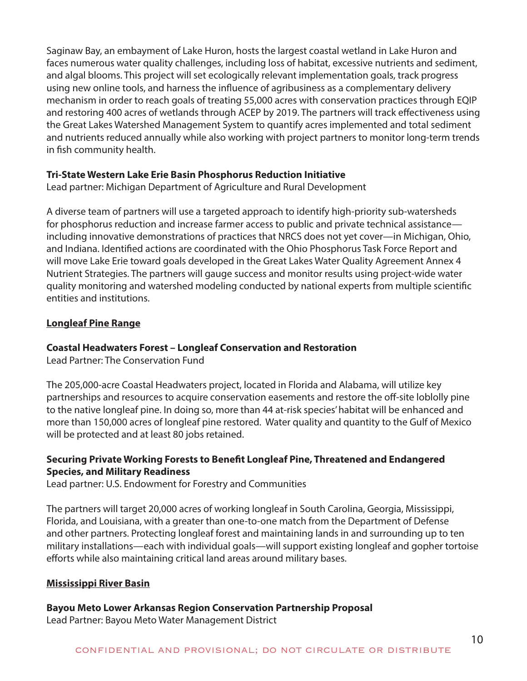Saginaw Bay, an embayment of Lake Huron, hosts the largest coastal wetland in Lake Huron and faces numerous water quality challenges, including loss of habitat, excessive nutrients and sediment, and algal blooms. This project will set ecologically relevant implementation goals, track progress using new online tools, and harness the influence of agribusiness as a complementary delivery mechanism in order to reach goals of treating 55,000 acres with conservation practices through EQIP and restoring 400 acres of wetlands through ACEP by 2019. The partners will track effectiveness using the Great Lakes Watershed Management System to quantify acres implemented and total sediment and nutrients reduced annually while also working with project partners to monitor long-term trends in fish community health.

## **Tri-State Western Lake Erie Basin Phosphorus Reduction Initiative**

Lead partner: Michigan Department of Agriculture and Rural Development

A diverse team of partners will use a targeted approach to identify high-priority sub-watersheds for phosphorus reduction and increase farmer access to public and private technical assistance including innovative demonstrations of practices that NRCS does not yet cover—in Michigan, Ohio, and Indiana. Identified actions are coordinated with the Ohio Phosphorus Task Force Report and will move Lake Erie toward goals developed in the Great Lakes Water Quality Agreement Annex 4 Nutrient Strategies. The partners will gauge success and monitor results using project-wide water quality monitoring and watershed modeling conducted by national experts from multiple scientific entities and institutions.

## **Longleaf Pine Range**

## **Coastal Headwaters Forest – Longleaf Conservation and Restoration**

Lead Partner: The Conservation Fund

The 205,000-acre Coastal Headwaters project, located in Florida and Alabama, will utilize key partnerships and resources to acquire conservation easements and restore the off-site loblolly pine to the native longleaf pine. In doing so, more than 44 at-risk species' habitat will be enhanced and more than 150,000 acres of longleaf pine restored. Water quality and quantity to the Gulf of Mexico will be protected and at least 80 jobs retained.

## **Securing Private Working Forests to Benefit Longleaf Pine, Threatened and Endangered Species, and Military Readiness**

Lead partner: U.S. Endowment for Forestry and Communities

The partners will target 20,000 acres of working longleaf in South Carolina, Georgia, Mississippi, Florida, and Louisiana, with a greater than one-to-one match from the Department of Defense and other partners. Protecting longleaf forest and maintaining lands in and surrounding up to ten military installations—each with individual goals—will support existing longleaf and gopher tortoise efforts while also maintaining critical land areas around military bases.

## **Mississippi River Basin**

## **Bayou Meto Lower Arkansas Region Conservation Partnership Proposal**

Lead Partner: Bayou Meto Water Management District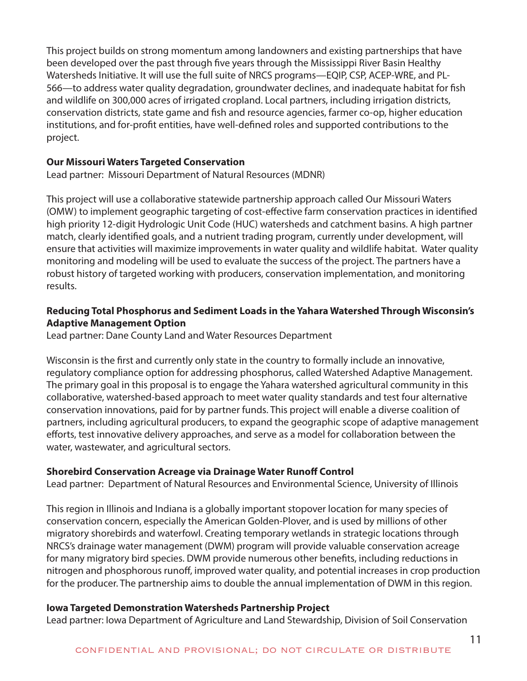This project builds on strong momentum among landowners and existing partnerships that have been developed over the past through five years through the Mississippi River Basin Healthy Watersheds Initiative. It will use the full suite of NRCS programs—EQIP, CSP, ACEP-WRE, and PL-566—to address water quality degradation, groundwater declines, and inadequate habitat for fish and wildlife on 300,000 acres of irrigated cropland. Local partners, including irrigation districts, conservation districts, state game and fish and resource agencies, farmer co-op, higher education institutions, and for-profit entities, have well-defined roles and supported contributions to the project.

## **Our Missouri Waters Targeted Conservation**

Lead partner: Missouri Department of Natural Resources (MDNR)

This project will use a collaborative statewide partnership approach called Our Missouri Waters (OMW) to implement geographic targeting of cost-effective farm conservation practices in identified high priority 12-digit Hydrologic Unit Code (HUC) watersheds and catchment basins. A high partner match, clearly identified goals, and a nutrient trading program, currently under development, will ensure that activities will maximize improvements in water quality and wildlife habitat. Water quality monitoring and modeling will be used to evaluate the success of the project. The partners have a robust history of targeted working with producers, conservation implementation, and monitoring results.

## **Reducing Total Phosphorus and Sediment Loads in the Yahara Watershed Through Wisconsin's Adaptive Management Option**

Lead partner: Dane County Land and Water Resources Department

Wisconsin is the first and currently only state in the country to formally include an innovative, regulatory compliance option for addressing phosphorus, called Watershed Adaptive Management. The primary goal in this proposal is to engage the Yahara watershed agricultural community in this collaborative, watershed-based approach to meet water quality standards and test four alternative conservation innovations, paid for by partner funds. This project will enable a diverse coalition of partners, including agricultural producers, to expand the geographic scope of adaptive management efforts, test innovative delivery approaches, and serve as a model for collaboration between the water, wastewater, and agricultural sectors.

## **Shorebird Conservation Acreage via Drainage Water Runoff Control**

Lead partner: Department of Natural Resources and Environmental Science, University of Illinois

This region in Illinois and Indiana is a globally important stopover location for many species of conservation concern, especially the American Golden-Plover, and is used by millions of other migratory shorebirds and waterfowl. Creating temporary wetlands in strategic locations through NRCS's drainage water management (DWM) program will provide valuable conservation acreage for many migratory bird species. DWM provide numerous other benefits, including reductions in nitrogen and phosphorous runoff, improved water quality, and potential increases in crop production for the producer. The partnership aims to double the annual implementation of DWM in this region.

## **Iowa Targeted Demonstration Watersheds Partnership Project**

Lead partner: Iowa Department of Agriculture and Land Stewardship, Division of Soil Conservation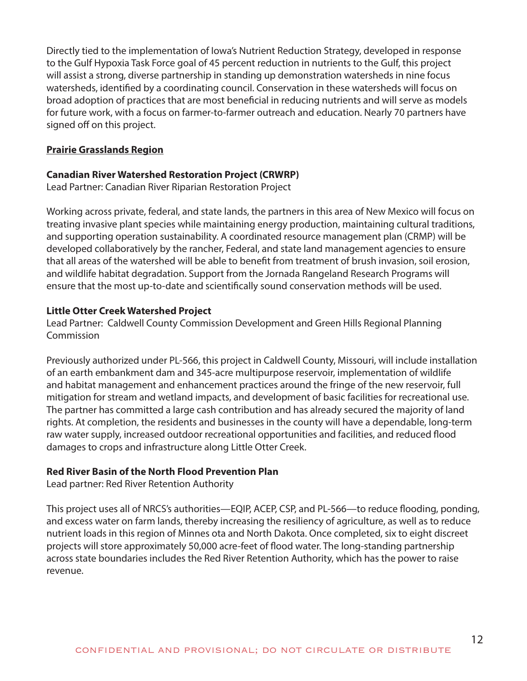Directly tied to the implementation of Iowa's Nutrient Reduction Strategy, developed in response to the Gulf Hypoxia Task Force goal of 45 percent reduction in nutrients to the Gulf, this project will assist a strong, diverse partnership in standing up demonstration watersheds in nine focus watersheds, identified by a coordinating council. Conservation in these watersheds will focus on broad adoption of practices that are most beneficial in reducing nutrients and will serve as models for future work, with a focus on farmer-to-farmer outreach and education. Nearly 70 partners have signed off on this project.

## **Prairie Grasslands Region**

## **Canadian River Watershed Restoration Project (CRWRP)**

Lead Partner: Canadian River Riparian Restoration Project

Working across private, federal, and state lands, the partners in this area of New Mexico will focus on treating invasive plant species while maintaining energy production, maintaining cultural traditions, and supporting operation sustainability. A coordinated resource management plan (CRMP) will be developed collaboratively by the rancher, Federal, and state land management agencies to ensure that all areas of the watershed will be able to benefit from treatment of brush invasion, soil erosion, and wildlife habitat degradation. Support from the Jornada Rangeland Research Programs will ensure that the most up-to-date and scientifically sound conservation methods will be used.

## **Little Otter Creek Watershed Project**

Lead Partner: Caldwell County Commission Development and Green Hills Regional Planning Commission

Previously authorized under PL-566, this project in Caldwell County, Missouri, will include installation of an earth embankment dam and 345-acre multipurpose reservoir, implementation of wildlife and habitat management and enhancement practices around the fringe of the new reservoir, full mitigation for stream and wetland impacts, and development of basic facilities for recreational use. The partner has committed a large cash contribution and has already secured the majority of land rights. At completion, the residents and businesses in the county will have a dependable, long-term raw water supply, increased outdoor recreational opportunities and facilities, and reduced flood damages to crops and infrastructure along Little Otter Creek.

## **Red River Basin of the North Flood Prevention Plan**

Lead partner: Red River Retention Authority

This project uses all of NRCS's authorities—EQIP, ACEP, CSP, and PL-566—to reduce flooding, ponding, and excess water on farm lands, thereby increasing the resiliency of agriculture, as well as to reduce nutrient loads in this region of Minnes ota and North Dakota. Once completed, six to eight discreet projects will store approximately 50,000 acre-feet of flood water. The long-standing partnership across state boundaries includes the Red River Retention Authority, which has the power to raise revenue.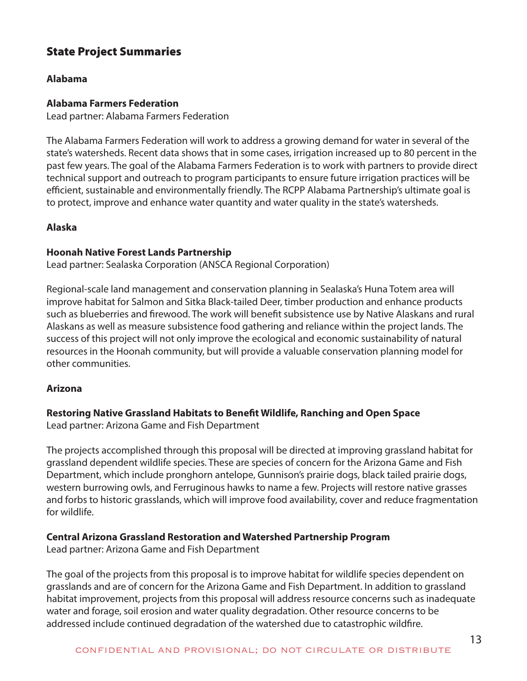## State Project Summaries

## **Alabama**

## **Alabama Farmers Federation**

Lead partner: Alabama Farmers Federation

The Alabama Farmers Federation will work to address a growing demand for water in several of the state's watersheds. Recent data shows that in some cases, irrigation increased up to 80 percent in the past few years. The goal of the Alabama Farmers Federation is to work with partners to provide direct technical support and outreach to program participants to ensure future irrigation practices will be efficient, sustainable and environmentally friendly. The RCPP Alabama Partnership's ultimate goal is to protect, improve and enhance water quantity and water quality in the state's watersheds.

## **Alaska**

## **Hoonah Native Forest Lands Partnership**

Lead partner: Sealaska Corporation (ANSCA Regional Corporation)

Regional-scale land management and conservation planning in Sealaska's Huna Totem area will improve habitat for Salmon and Sitka Black-tailed Deer, timber production and enhance products such as blueberries and firewood. The work will benefit subsistence use by Native Alaskans and rural Alaskans as well as measure subsistence food gathering and reliance within the project lands. The success of this project will not only improve the ecological and economic sustainability of natural resources in the Hoonah community, but will provide a valuable conservation planning model for other communities.

## **Arizona**

## **Restoring Native Grassland Habitats to Benefit Wildlife, Ranching and Open Space**

Lead partner: Arizona Game and Fish Department

The projects accomplished through this proposal will be directed at improving grassland habitat for grassland dependent wildlife species. These are species of concern for the Arizona Game and Fish Department, which include pronghorn antelope, Gunnison's prairie dogs, black tailed prairie dogs, western burrowing owls, and Ferruginous hawks to name a few. Projects will restore native grasses and forbs to historic grasslands, which will improve food availability, cover and reduce fragmentation for wildlife.

## **Central Arizona Grassland Restoration and Watershed Partnership Program**

Lead partner: Arizona Game and Fish Department

The goal of the projects from this proposal is to improve habitat for wildlife species dependent on grasslands and are of concern for the Arizona Game and Fish Department. In addition to grassland habitat improvement, projects from this proposal will address resource concerns such as inadequate water and forage, soil erosion and water quality degradation. Other resource concerns to be addressed include continued degradation of the watershed due to catastrophic wildfire.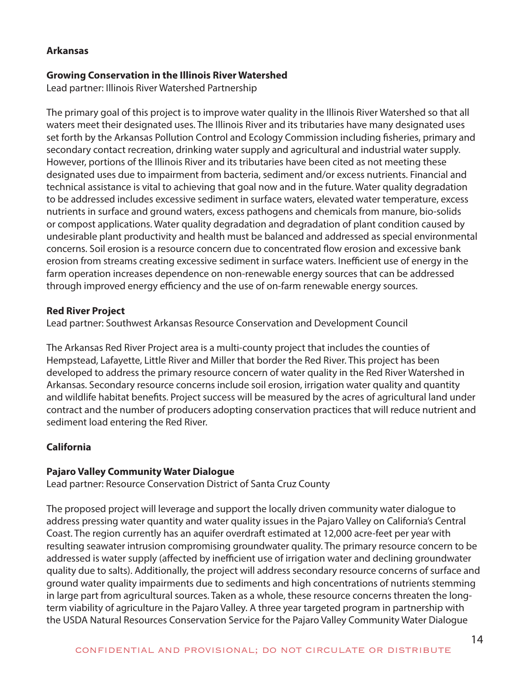## **Arkansas**

#### **Growing Conservation in the Illinois River Watershed**

Lead partner: Illinois River Watershed Partnership

The primary goal of this project is to improve water quality in the Illinois River Watershed so that all waters meet their designated uses. The Illinois River and its tributaries have many designated uses set forth by the Arkansas Pollution Control and Ecology Commission including fisheries, primary and secondary contact recreation, drinking water supply and agricultural and industrial water supply. However, portions of the Illinois River and its tributaries have been cited as not meeting these designated uses due to impairment from bacteria, sediment and/or excess nutrients. Financial and technical assistance is vital to achieving that goal now and in the future. Water quality degradation to be addressed includes excessive sediment in surface waters, elevated water temperature, excess nutrients in surface and ground waters, excess pathogens and chemicals from manure, bio-solids or compost applications. Water quality degradation and degradation of plant condition caused by undesirable plant productivity and health must be balanced and addressed as special environmental concerns. Soil erosion is a resource concern due to concentrated flow erosion and excessive bank erosion from streams creating excessive sediment in surface waters. Inefficient use of energy in the farm operation increases dependence on non-renewable energy sources that can be addressed through improved energy efficiency and the use of on-farm renewable energy sources.

#### **Red River Project**

Lead partner: Southwest Arkansas Resource Conservation and Development Council

The Arkansas Red River Project area is a multi-county project that includes the counties of Hempstead, Lafayette, Little River and Miller that border the Red River. This project has been developed to address the primary resource concern of water quality in the Red River Watershed in Arkansas. Secondary resource concerns include soil erosion, irrigation water quality and quantity and wildlife habitat benefits. Project success will be measured by the acres of agricultural land under contract and the number of producers adopting conservation practices that will reduce nutrient and sediment load entering the Red River.

## **California**

## **Pajaro Valley Community Water Dialogue**

Lead partner: Resource Conservation District of Santa Cruz County

The proposed project will leverage and support the locally driven community water dialogue to address pressing water quantity and water quality issues in the Pajaro Valley on California's Central Coast. The region currently has an aquifer overdraft estimated at 12,000 acre-feet per year with resulting seawater intrusion compromising groundwater quality. The primary resource concern to be addressed is water supply (affected by inefficient use of irrigation water and declining groundwater quality due to salts). Additionally, the project will address secondary resource concerns of surface and ground water quality impairments due to sediments and high concentrations of nutrients stemming in large part from agricultural sources. Taken as a whole, these resource concerns threaten the longterm viability of agriculture in the Pajaro Valley. A three year targeted program in partnership with the USDA Natural Resources Conservation Service for the Pajaro Valley Community Water Dialogue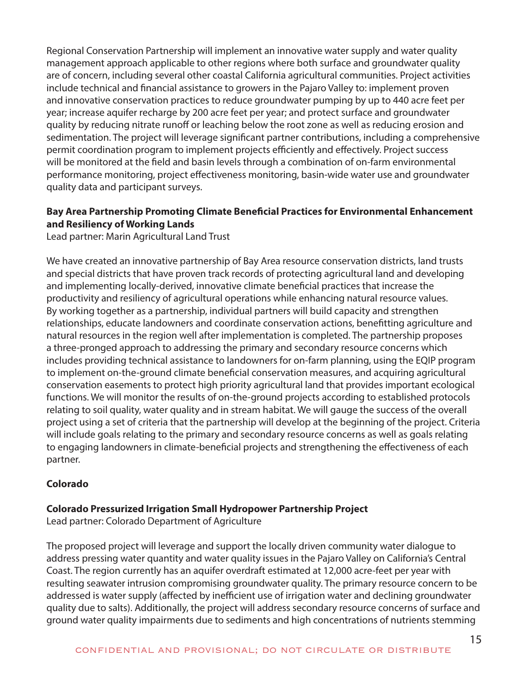Regional Conservation Partnership will implement an innovative water supply and water quality management approach applicable to other regions where both surface and groundwater quality are of concern, including several other coastal California agricultural communities. Project activities include technical and financial assistance to growers in the Pajaro Valley to: implement proven and innovative conservation practices to reduce groundwater pumping by up to 440 acre feet per year; increase aquifer recharge by 200 acre feet per year; and protect surface and groundwater quality by reducing nitrate runoff or leaching below the root zone as well as reducing erosion and sedimentation. The project will leverage significant partner contributions, including a comprehensive permit coordination program to implement projects efficiently and effectively. Project success will be monitored at the field and basin levels through a combination of on-farm environmental performance monitoring, project effectiveness monitoring, basin-wide water use and groundwater quality data and participant surveys.

## **Bay Area Partnership Promoting Climate Beneficial Practices for Environmental Enhancement and Resiliency of Working Lands**

Lead partner: Marin Agricultural Land Trust

We have created an innovative partnership of Bay Area resource conservation districts, land trusts and special districts that have proven track records of protecting agricultural land and developing and implementing locally-derived, innovative climate beneficial practices that increase the productivity and resiliency of agricultural operations while enhancing natural resource values. By working together as a partnership, individual partners will build capacity and strengthen relationships, educate landowners and coordinate conservation actions, benefitting agriculture and natural resources in the region well after implementation is completed. The partnership proposes a three-pronged approach to addressing the primary and secondary resource concerns which includes providing technical assistance to landowners for on-farm planning, using the EQIP program to implement on-the-ground climate beneficial conservation measures, and acquiring agricultural conservation easements to protect high priority agricultural land that provides important ecological functions. We will monitor the results of on-the-ground projects according to established protocols relating to soil quality, water quality and in stream habitat. We will gauge the success of the overall project using a set of criteria that the partnership will develop at the beginning of the project. Criteria will include goals relating to the primary and secondary resource concerns as well as goals relating to engaging landowners in climate-beneficial projects and strengthening the effectiveness of each partner.

## **Colorado**

## **Colorado Pressurized Irrigation Small Hydropower Partnership Project**

Lead partner: Colorado Department of Agriculture

The proposed project will leverage and support the locally driven community water dialogue to address pressing water quantity and water quality issues in the Pajaro Valley on California's Central Coast. The region currently has an aquifer overdraft estimated at 12,000 acre-feet per year with resulting seawater intrusion compromising groundwater quality. The primary resource concern to be addressed is water supply (affected by inefficient use of irrigation water and declining groundwater quality due to salts). Additionally, the project will address secondary resource concerns of surface and ground water quality impairments due to sediments and high concentrations of nutrients stemming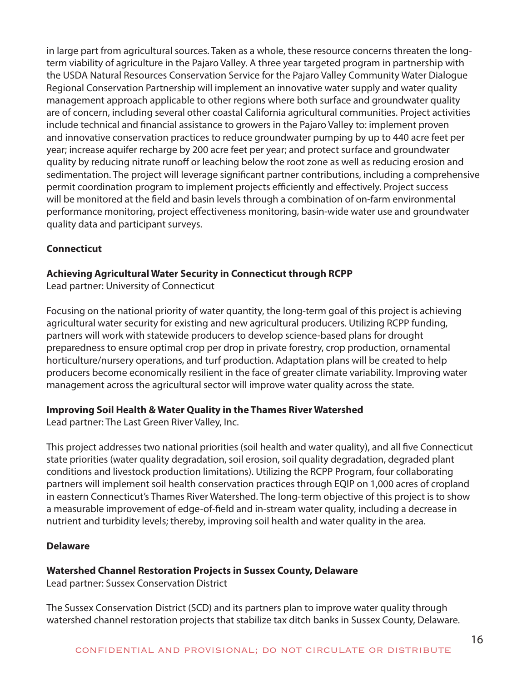in large part from agricultural sources. Taken as a whole, these resource concerns threaten the longterm viability of agriculture in the Pajaro Valley. A three year targeted program in partnership with the USDA Natural Resources Conservation Service for the Pajaro Valley Community Water Dialogue Regional Conservation Partnership will implement an innovative water supply and water quality management approach applicable to other regions where both surface and groundwater quality are of concern, including several other coastal California agricultural communities. Project activities include technical and financial assistance to growers in the Pajaro Valley to: implement proven and innovative conservation practices to reduce groundwater pumping by up to 440 acre feet per year; increase aquifer recharge by 200 acre feet per year; and protect surface and groundwater quality by reducing nitrate runoff or leaching below the root zone as well as reducing erosion and sedimentation. The project will leverage significant partner contributions, including a comprehensive permit coordination program to implement projects efficiently and effectively. Project success will be monitored at the field and basin levels through a combination of on-farm environmental performance monitoring, project effectiveness monitoring, basin-wide water use and groundwater quality data and participant surveys.

## **Connecticut**

## **Achieving Agricultural Water Security in Connecticut through RCPP**

Lead partner: University of Connecticut

Focusing on the national priority of water quantity, the long-term goal of this project is achieving agricultural water security for existing and new agricultural producers. Utilizing RCPP funding, partners will work with statewide producers to develop science-based plans for drought preparedness to ensure optimal crop per drop in private forestry, crop production, ornamental horticulture/nursery operations, and turf production. Adaptation plans will be created to help producers become economically resilient in the face of greater climate variability. Improving water management across the agricultural sector will improve water quality across the state.

## **Improving Soil Health & Water Quality in the Thames River Watershed**

Lead partner: The Last Green River Valley, Inc.

This project addresses two national priorities (soil health and water quality), and all five Connecticut state priorities (water quality degradation, soil erosion, soil quality degradation, degraded plant conditions and livestock production limitations). Utilizing the RCPP Program, four collaborating partners will implement soil health conservation practices through EQIP on 1,000 acres of cropland in eastern Connecticut's Thames River Watershed. The long-term objective of this project is to show a measurable improvement of edge-of-field and in-stream water quality, including a decrease in nutrient and turbidity levels; thereby, improving soil health and water quality in the area.

## **Delaware**

## **Watershed Channel Restoration Projects in Sussex County, Delaware**

Lead partner: Sussex Conservation District

The Sussex Conservation District (SCD) and its partners plan to improve water quality through watershed channel restoration projects that stabilize tax ditch banks in Sussex County, Delaware.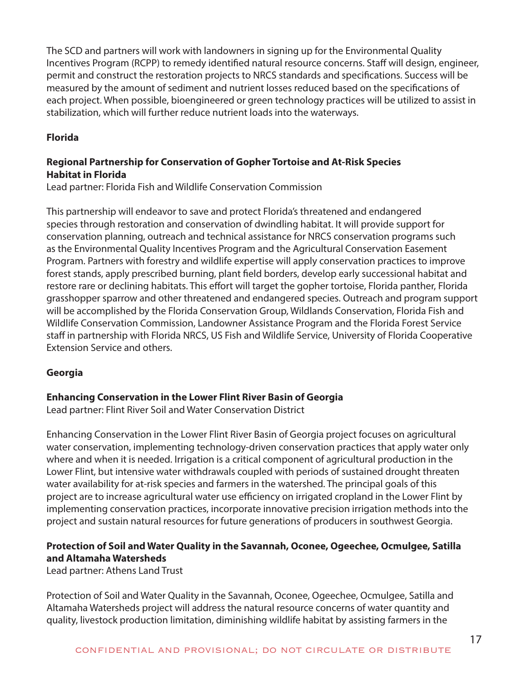The SCD and partners will work with landowners in signing up for the Environmental Quality Incentives Program (RCPP) to remedy identified natural resource concerns. Staff will design, engineer, permit and construct the restoration projects to NRCS standards and specifications. Success will be measured by the amount of sediment and nutrient losses reduced based on the specifications of each project. When possible, bioengineered or green technology practices will be utilized to assist in stabilization, which will further reduce nutrient loads into the waterways.

## **Florida**

## **Regional Partnership for Conservation of Gopher Tortoise and At-Risk Species Habitat in Florida**

Lead partner: Florida Fish and Wildlife Conservation Commission

This partnership will endeavor to save and protect Florida's threatened and endangered species through restoration and conservation of dwindling habitat. It will provide support for conservation planning, outreach and technical assistance for NRCS conservation programs such as the Environmental Quality Incentives Program and the Agricultural Conservation Easement Program. Partners with forestry and wildlife expertise will apply conservation practices to improve forest stands, apply prescribed burning, plant field borders, develop early successional habitat and restore rare or declining habitats. This effort will target the gopher tortoise, Florida panther, Florida grasshopper sparrow and other threatened and endangered species. Outreach and program support will be accomplished by the Florida Conservation Group, Wildlands Conservation, Florida Fish and Wildlife Conservation Commission, Landowner Assistance Program and the Florida Forest Service staff in partnership with Florida NRCS, US Fish and Wildlife Service, University of Florida Cooperative Extension Service and others.

## **Georgia**

## **Enhancing Conservation in the Lower Flint River Basin of Georgia**

Lead partner: Flint River Soil and Water Conservation District

Enhancing Conservation in the Lower Flint River Basin of Georgia project focuses on agricultural water conservation, implementing technology-driven conservation practices that apply water only where and when it is needed. Irrigation is a critical component of agricultural production in the Lower Flint, but intensive water withdrawals coupled with periods of sustained drought threaten water availability for at-risk species and farmers in the watershed. The principal goals of this project are to increase agricultural water use efficiency on irrigated cropland in the Lower Flint by implementing conservation practices, incorporate innovative precision irrigation methods into the project and sustain natural resources for future generations of producers in southwest Georgia.

## **Protection of Soil and Water Quality in the Savannah, Oconee, Ogeechee, Ocmulgee, Satilla and Altamaha Watersheds**

Lead partner: Athens Land Trust

Protection of Soil and Water Quality in the Savannah, Oconee, Ogeechee, Ocmulgee, Satilla and Altamaha Watersheds project will address the natural resource concerns of water quantity and quality, livestock production limitation, diminishing wildlife habitat by assisting farmers in the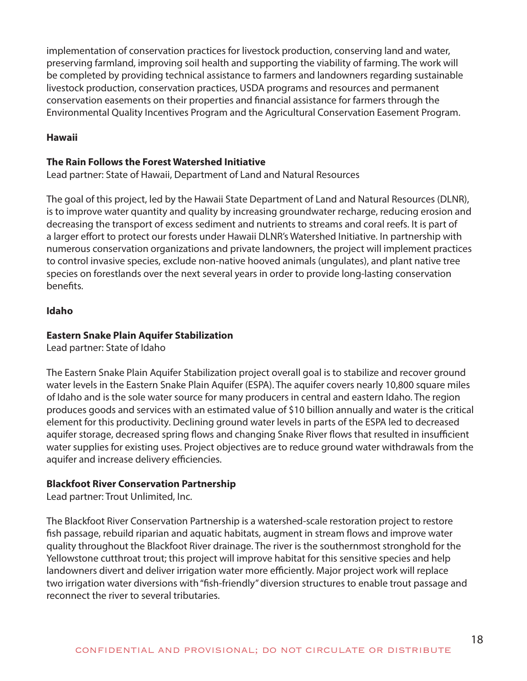implementation of conservation practices for livestock production, conserving land and water, preserving farmland, improving soil health and supporting the viability of farming. The work will be completed by providing technical assistance to farmers and landowners regarding sustainable livestock production, conservation practices, USDA programs and resources and permanent conservation easements on their properties and financial assistance for farmers through the Environmental Quality Incentives Program and the Agricultural Conservation Easement Program.

## **Hawaii**

## **The Rain Follows the Forest Watershed Initiative**

Lead partner: State of Hawaii, Department of Land and Natural Resources

The goal of this project, led by the Hawaii State Department of Land and Natural Resources (DLNR), is to improve water quantity and quality by increasing groundwater recharge, reducing erosion and decreasing the transport of excess sediment and nutrients to streams and coral reefs. It is part of a larger effort to protect our forests under Hawaii DLNR's Watershed Initiative. In partnership with numerous conservation organizations and private landowners, the project will implement practices to control invasive species, exclude non-native hooved animals (ungulates), and plant native tree species on forestlands over the next several years in order to provide long-lasting conservation benefits.

## **Idaho**

## **Eastern Snake Plain Aquifer Stabilization**

Lead partner: State of Idaho

The Eastern Snake Plain Aquifer Stabilization project overall goal is to stabilize and recover ground water levels in the Eastern Snake Plain Aquifer (ESPA). The aquifer covers nearly 10,800 square miles of Idaho and is the sole water source for many producers in central and eastern Idaho. The region produces goods and services with an estimated value of \$10 billion annually and water is the critical element for this productivity. Declining ground water levels in parts of the ESPA led to decreased aquifer storage, decreased spring flows and changing Snake River flows that resulted in insufficient water supplies for existing uses. Project objectives are to reduce ground water withdrawals from the aquifer and increase delivery efficiencies.

## **Blackfoot River Conservation Partnership**

Lead partner: Trout Unlimited, Inc.

The Blackfoot River Conservation Partnership is a watershed-scale restoration project to restore fish passage, rebuild riparian and aquatic habitats, augment in stream flows and improve water quality throughout the Blackfoot River drainage. The river is the southernmost stronghold for the Yellowstone cutthroat trout; this project will improve habitat for this sensitive species and help landowners divert and deliver irrigation water more efficiently. Major project work will replace two irrigation water diversions with "fish-friendly" diversion structures to enable trout passage and reconnect the river to several tributaries.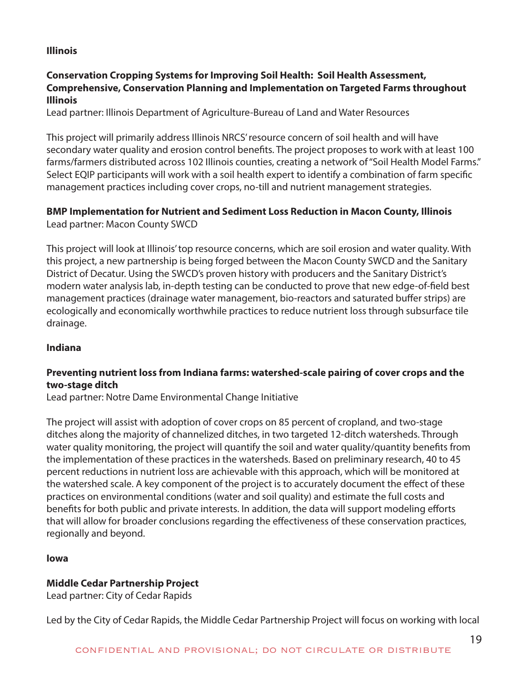## **Illinois**

## **Conservation Cropping Systems for Improving Soil Health: Soil Health Assessment, Comprehensive, Conservation Planning and Implementation on Targeted Farms throughout Illinois**

Lead partner: Illinois Department of Agriculture-Bureau of Land and Water Resources

This project will primarily address Illinois NRCS' resource concern of soil health and will have secondary water quality and erosion control benefits. The project proposes to work with at least 100 farms/farmers distributed across 102 Illinois counties, creating a network of "Soil Health Model Farms." Select EQIP participants will work with a soil health expert to identify a combination of farm specific management practices including cover crops, no-till and nutrient management strategies.

#### **BMP Implementation for Nutrient and Sediment Loss Reduction in Macon County, Illinois** Lead partner: Macon County SWCD

This project will look at Illinois' top resource concerns, which are soil erosion and water quality. With this project, a new partnership is being forged between the Macon County SWCD and the Sanitary District of Decatur. Using the SWCD's proven history with producers and the Sanitary District's modern water analysis lab, in-depth testing can be conducted to prove that new edge-of-field best management practices (drainage water management, bio-reactors and saturated buffer strips) are ecologically and economically worthwhile practices to reduce nutrient loss through subsurface tile drainage.

## **Indiana**

## **Preventing nutrient loss from Indiana farms: watershed-scale pairing of cover crops and the two-stage ditch**

Lead partner: Notre Dame Environmental Change Initiative

The project will assist with adoption of cover crops on 85 percent of cropland, and two-stage ditches along the majority of channelized ditches, in two targeted 12-ditch watersheds. Through water quality monitoring, the project will quantify the soil and water quality/quantity benefits from the implementation of these practices in the watersheds. Based on preliminary research, 40 to 45 percent reductions in nutrient loss are achievable with this approach, which will be monitored at the watershed scale. A key component of the project is to accurately document the effect of these practices on environmental conditions (water and soil quality) and estimate the full costs and benefits for both public and private interests. In addition, the data will support modeling efforts that will allow for broader conclusions regarding the effectiveness of these conservation practices, regionally and beyond.

## **Iowa**

## **Middle Cedar Partnership Project**

Lead partner: City of Cedar Rapids

Led by the City of Cedar Rapids, the Middle Cedar Partnership Project will focus on working with local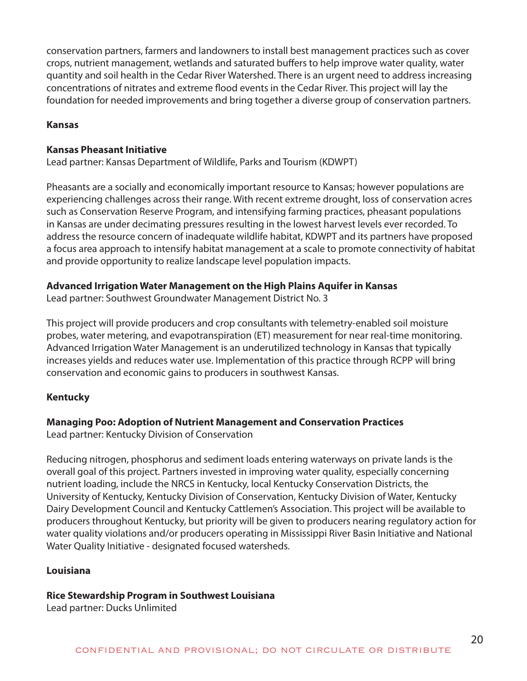conservation partners, farmers and landowners to install best management practices such as cover crops, nutrient management, wetlands and saturated buffers to help improve water quality, water quantity and soil health in the Cedar River Watershed. There is an urgent need to address increasing concentrations of nitrates and extreme flood events in the Cedar River. This project will lay the foundation for needed improvements and bring together a diverse group of conservation partners.

## **Kansas**

## **Kansas Pheasant Initiative**

Lead partner: Kansas Department of Wildlife, Parks and Tourism (KDWPT)

Pheasants are a socially and economically important resource to Kansas; however populations are experiencing challenges across their range. With recent extreme drought, loss of conservation acres such as Conservation Reserve Program, and intensifying farming practices, pheasant populations in Kansas are under decimating pressures resulting in the lowest harvest levels ever recorded. To address the resource concern of inadequate wildlife habitat, KDWPT and its partners have proposed a focus area approach to intensify habitat management at a scale to promote connectivity of habitat and provide opportunity to realize landscape level population impacts.

## **Advanced Irrigation Water Management on the High Plains Aquifer in Kansas**

Lead partner: Southwest Groundwater Management District No. 3

This project will provide producers and crop consultants with telemetry-enabled soil moisture probes, water metering, and evapotranspiration (ET) measurement for near real-time monitoring. Advanced Irrigation Water Management is an underutilized technology in Kansas that typically increases yields and reduces water use. Implementation of this practice through RCPP will bring conservation and economic gains to producers in southwest Kansas.

## **Kentucky**

## **Managing Poo: Adoption of Nutrient Management and Conservation Practices**

Lead partner: Kentucky Division of Conservation

Reducing nitrogen, phosphorus and sediment loads entering waterways on private lands is the overall goal of this project. Partners invested in improving water quality, especially concerning nutrient loading, include the NRCS in Kentucky, local Kentucky Conservation Districts, the University of Kentucky, Kentucky Division of Conservation, Kentucky Division of Water, Kentucky Dairy Development Council and Kentucky Cattlemen's Association. This project will be available to producers throughout Kentucky, but priority will be given to producers nearing regulatory action for water quality violations and/or producers operating in Mississippi River Basin Initiative and National Water Quality Initiative - designated focused watersheds.

## **Louisiana**

## **Rice Stewardship Program in Southwest Louisiana**

Lead partner: Ducks Unlimited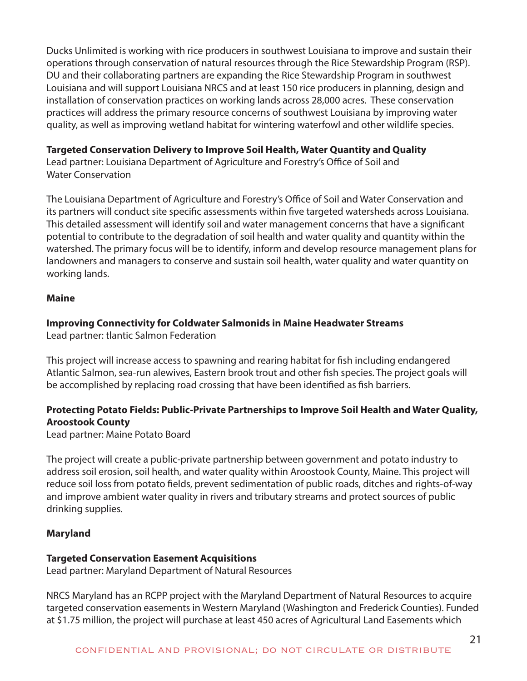Ducks Unlimited is working with rice producers in southwest Louisiana to improve and sustain their operations through conservation of natural resources through the Rice Stewardship Program (RSP). DU and their collaborating partners are expanding the Rice Stewardship Program in southwest Louisiana and will support Louisiana NRCS and at least 150 rice producers in planning, design and installation of conservation practices on working lands across 28,000 acres. These conservation practices will address the primary resource concerns of southwest Louisiana by improving water quality, as well as improving wetland habitat for wintering waterfowl and other wildlife species.

## **Targeted Conservation Delivery to Improve Soil Health, Water Quantity and Quality**

Lead partner: Louisiana Department of Agriculture and Forestry's Office of Soil and Water Conservation

The Louisiana Department of Agriculture and Forestry's Office of Soil and Water Conservation and its partners will conduct site specific assessments within five targeted watersheds across Louisiana. This detailed assessment will identify soil and water management concerns that have a significant potential to contribute to the degradation of soil health and water quality and quantity within the watershed. The primary focus will be to identify, inform and develop resource management plans for landowners and managers to conserve and sustain soil health, water quality and water quantity on working lands.

## **Maine**

## **Improving Connectivity for Coldwater Salmonids in Maine Headwater Streams**

Lead partner: tlantic Salmon Federation

This project will increase access to spawning and rearing habitat for fish including endangered Atlantic Salmon, sea-run alewives, Eastern brook trout and other fish species. The project goals will be accomplished by replacing road crossing that have been identified as fish barriers.

## **Protecting Potato Fields: Public-Private Partnerships to Improve Soil Health and Water Quality, Aroostook County**

Lead partner: Maine Potato Board

The project will create a public-private partnership between government and potato industry to address soil erosion, soil health, and water quality within Aroostook County, Maine. This project will reduce soil loss from potato fields, prevent sedimentation of public roads, ditches and rights-of-way and improve ambient water quality in rivers and tributary streams and protect sources of public drinking supplies.

## **Maryland**

## **Targeted Conservation Easement Acquisitions**

Lead partner: Maryland Department of Natural Resources

NRCS Maryland has an RCPP project with the Maryland Department of Natural Resources to acquire targeted conservation easements in Western Maryland (Washington and Frederick Counties). Funded at \$1.75 million, the project will purchase at least 450 acres of Agricultural Land Easements which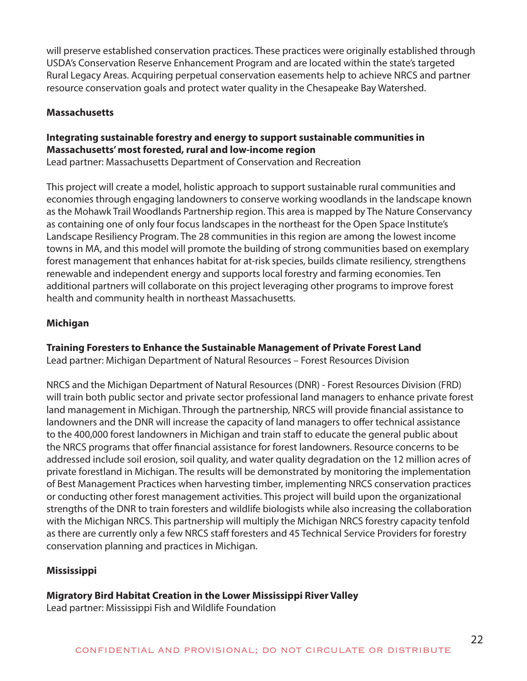will preserve established conservation practices. These practices were originally established through USDA's Conservation Reserve Enhancement Program and are located within the state's targeted Rural Legacy Areas. Acquiring perpetual conservation easements help to achieve NRCS and partner resource conservation goals and protect water quality in the Chesapeake Bay Watershed.

## **Massachusetts**

## **Integrating sustainable forestry and energy to support sustainable communities in Massachusetts' most forested, rural and low-income region**

Lead partner: Massachusetts Department of Conservation and Recreation

This project will create a model, holistic approach to support sustainable rural communities and economies through engaging landowners to conserve working woodlands in the landscape known as the Mohawk Trail Woodlands Partnership region. This area is mapped by The Nature Conservancy as containing one of only four focus landscapes in the northeast for the Open Space Institute's Landscape Resiliency Program. The 28 communities in this region are among the lowest income towns in MA, and this model will promote the building of strong communities based on exemplary forest management that enhances habitat for at-risk species, builds climate resiliency, strengthens renewable and independent energy and supports local forestry and farming economies. Ten additional partners will collaborate on this project leveraging other programs to improve forest health and community health in northeast Massachusetts.

## **Michigan**

## **Training Foresters to Enhance the Sustainable Management of Private Forest Land**

Lead partner: Michigan Department of Natural Resources – Forest Resources Division

NRCS and the Michigan Department of Natural Resources (DNR) - Forest Resources Division (FRD) will train both public sector and private sector professional land managers to enhance private forest land management in Michigan. Through the partnership, NRCS will provide financial assistance to landowners and the DNR will increase the capacity of land managers to offer technical assistance to the 400,000 forest landowners in Michigan and train staff to educate the general public about the NRCS programs that offer financial assistance for forest landowners. Resource concerns to be addressed include soil erosion, soil quality, and water quality degradation on the 12 million acres of private forestland in Michigan. The results will be demonstrated by monitoring the implementation of Best Management Practices when harvesting timber, implementing NRCS conservation practices or conducting other forest management activities. This project will build upon the organizational strengths of the DNR to train foresters and wildlife biologists while also increasing the collaboration with the Michigan NRCS. This partnership will multiply the Michigan NRCS forestry capacity tenfold as there are currently only a few NRCS staff foresters and 45 Technical Service Providers for forestry conservation planning and practices in Michigan.

## **Mississippi**

## **Migratory Bird Habitat Creation in the Lower Mississippi River Valley**

Lead partner: Mississippi Fish and Wildlife Foundation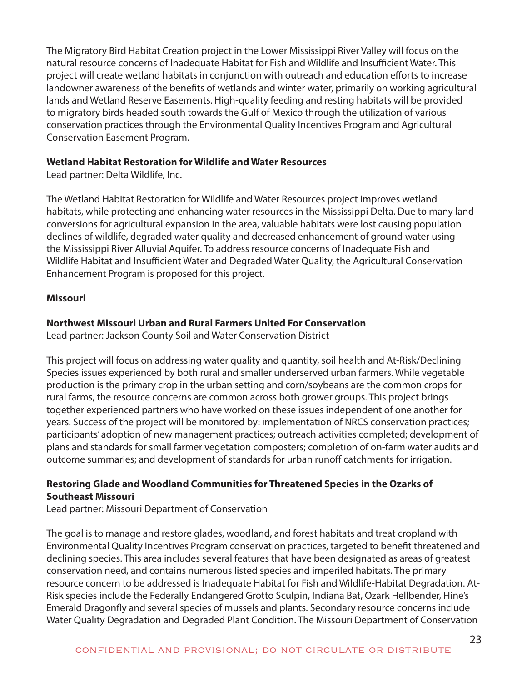The Migratory Bird Habitat Creation project in the Lower Mississippi River Valley will focus on the natural resource concerns of Inadequate Habitat for Fish and Wildlife and Insufficient Water. This project will create wetland habitats in conjunction with outreach and education efforts to increase landowner awareness of the benefits of wetlands and winter water, primarily on working agricultural lands and Wetland Reserve Easements. High-quality feeding and resting habitats will be provided to migratory birds headed south towards the Gulf of Mexico through the utilization of various conservation practices through the Environmental Quality Incentives Program and Agricultural Conservation Easement Program.

## **Wetland Habitat Restoration for Wildlife and Water Resources**

Lead partner: Delta Wildlife, Inc.

The Wetland Habitat Restoration for Wildlife and Water Resources project improves wetland habitats, while protecting and enhancing water resources in the Mississippi Delta. Due to many land conversions for agricultural expansion in the area, valuable habitats were lost causing population declines of wildlife, degraded water quality and decreased enhancement of ground water using the Mississippi River Alluvial Aquifer. To address resource concerns of Inadequate Fish and Wildlife Habitat and Insufficient Water and Degraded Water Quality, the Agricultural Conservation Enhancement Program is proposed for this project.

## **Missouri**

## **Northwest Missouri Urban and Rural Farmers United For Conservation**

Lead partner: Jackson County Soil and Water Conservation District

This project will focus on addressing water quality and quantity, soil health and At-Risk/Declining Species issues experienced by both rural and smaller underserved urban farmers. While vegetable production is the primary crop in the urban setting and corn/soybeans are the common crops for rural farms, the resource concerns are common across both grower groups. This project brings together experienced partners who have worked on these issues independent of one another for years. Success of the project will be monitored by: implementation of NRCS conservation practices; participants' adoption of new management practices; outreach activities completed; development of plans and standards for small farmer vegetation composters; completion of on-farm water audits and outcome summaries; and development of standards for urban runoff catchments for irrigation.

## **Restoring Glade and Woodland Communities for Threatened Species in the Ozarks of Southeast Missouri**

Lead partner: Missouri Department of Conservation

The goal is to manage and restore glades, woodland, and forest habitats and treat cropland with Environmental Quality Incentives Program conservation practices, targeted to benefit threatened and declining species. This area includes several features that have been designated as areas of greatest conservation need, and contains numerous listed species and imperiled habitats. The primary resource concern to be addressed is Inadequate Habitat for Fish and Wildlife-Habitat Degradation. At-Risk species include the Federally Endangered Grotto Sculpin, Indiana Bat, Ozark Hellbender, Hine's Emerald Dragonfly and several species of mussels and plants. Secondary resource concerns include Water Quality Degradation and Degraded Plant Condition. The Missouri Department of Conservation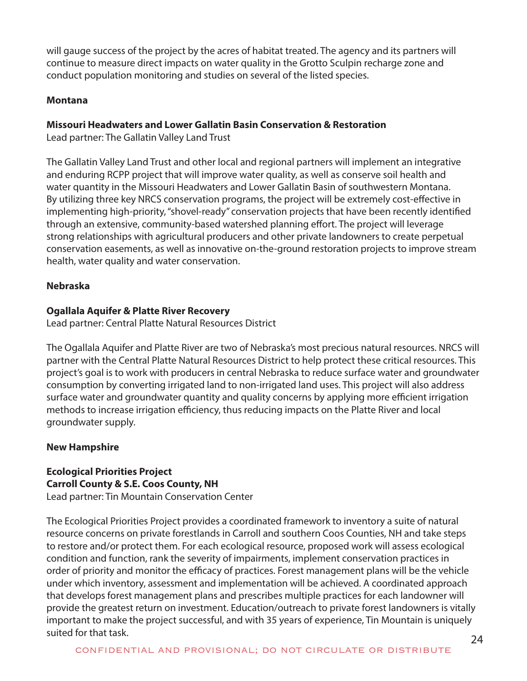will gauge success of the project by the acres of habitat treated. The agency and its partners will continue to measure direct impacts on water quality in the Grotto Sculpin recharge zone and conduct population monitoring and studies on several of the listed species.

#### **Montana**

## **Missouri Headwaters and Lower Gallatin Basin Conservation & Restoration**

Lead partner: The Gallatin Valley Land Trust

The Gallatin Valley Land Trust and other local and regional partners will implement an integrative and enduring RCPP project that will improve water quality, as well as conserve soil health and water quantity in the Missouri Headwaters and Lower Gallatin Basin of southwestern Montana. By utilizing three key NRCS conservation programs, the project will be extremely cost-effective in implementing high-priority, "shovel-ready" conservation projects that have been recently identified through an extensive, community-based watershed planning effort. The project will leverage strong relationships with agricultural producers and other private landowners to create perpetual conservation easements, as well as innovative on-the-ground restoration projects to improve stream health, water quality and water conservation.

## **Nebraska**

## **Ogallala Aquifer & Platte River Recovery**

Lead partner: Central Platte Natural Resources District

The Ogallala Aquifer and Platte River are two of Nebraska's most precious natural resources. NRCS will partner with the Central Platte Natural Resources District to help protect these critical resources. This project's goal is to work with producers in central Nebraska to reduce surface water and groundwater consumption by converting irrigated land to non-irrigated land uses. This project will also address surface water and groundwater quantity and quality concerns by applying more efficient irrigation methods to increase irrigation efficiency, thus reducing impacts on the Platte River and local groundwater supply.

## **New Hampshire**

#### **Ecological Priorities Project Carroll County & S.E. Coos County, NH**  Lead partner: Tin Mountain Conservation Center

The Ecological Priorities Project provides a coordinated framework to inventory a suite of natural resource concerns on private forestlands in Carroll and southern Coos Counties, NH and take steps to restore and/or protect them. For each ecological resource, proposed work will assess ecological condition and function, rank the severity of impairments, implement conservation practices in order of priority and monitor the efficacy of practices. Forest management plans will be the vehicle under which inventory, assessment and implementation will be achieved. A coordinated approach that develops forest management plans and prescribes multiple practices for each landowner will provide the greatest return on investment. Education/outreach to private forest landowners is vitally important to make the project successful, and with 35 years of experience, Tin Mountain is uniquely suited for that task.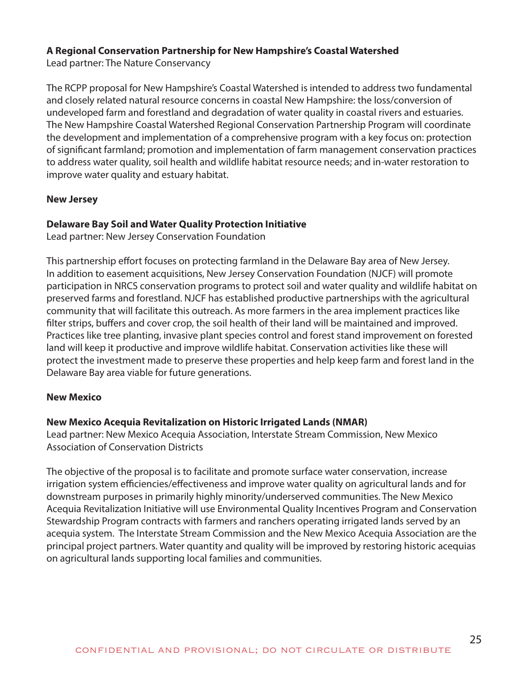## **A Regional Conservation Partnership for New Hampshire's Coastal Watershed**

Lead partner: The Nature Conservancy

The RCPP proposal for New Hampshire's Coastal Watershed is intended to address two fundamental and closely related natural resource concerns in coastal New Hampshire: the loss/conversion of undeveloped farm and forestland and degradation of water quality in coastal rivers and estuaries. The New Hampshire Coastal Watershed Regional Conservation Partnership Program will coordinate the development and implementation of a comprehensive program with a key focus on: protection of significant farmland; promotion and implementation of farm management conservation practices to address water quality, soil health and wildlife habitat resource needs; and in-water restoration to improve water quality and estuary habitat.

## **New Jersey**

## **Delaware Bay Soil and Water Quality Protection Initiative**

Lead partner: New Jersey Conservation Foundation

This partnership effort focuses on protecting farmland in the Delaware Bay area of New Jersey. In addition to easement acquisitions, New Jersey Conservation Foundation (NJCF) will promote participation in NRCS conservation programs to protect soil and water quality and wildlife habitat on preserved farms and forestland. NJCF has established productive partnerships with the agricultural community that will facilitate this outreach. As more farmers in the area implement practices like filter strips, buffers and cover crop, the soil health of their land will be maintained and improved. Practices like tree planting, invasive plant species control and forest stand improvement on forested land will keep it productive and improve wildlife habitat. Conservation activities like these will protect the investment made to preserve these properties and help keep farm and forest land in the Delaware Bay area viable for future generations.

## **New Mexico**

## **New Mexico Acequia Revitalization on Historic Irrigated Lands (NMAR)**

Lead partner: New Mexico Acequia Association, Interstate Stream Commission, New Mexico Association of Conservation Districts

The objective of the proposal is to facilitate and promote surface water conservation, increase irrigation system efficiencies/effectiveness and improve water quality on agricultural lands and for downstream purposes in primarily highly minority/underserved communities. The New Mexico Acequia Revitalization Initiative will use Environmental Quality Incentives Program and Conservation Stewardship Program contracts with farmers and ranchers operating irrigated lands served by an acequia system. The Interstate Stream Commission and the New Mexico Acequia Association are the principal project partners. Water quantity and quality will be improved by restoring historic acequias on agricultural lands supporting local families and communities.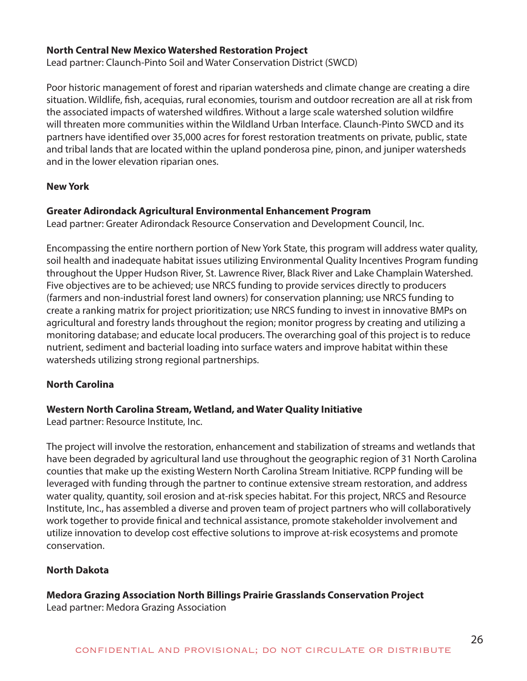#### **North Central New Mexico Watershed Restoration Project**

Lead partner: Claunch-Pinto Soil and Water Conservation District (SWCD)

Poor historic management of forest and riparian watersheds and climate change are creating a dire situation. Wildlife, fish, acequias, rural economies, tourism and outdoor recreation are all at risk from the associated impacts of watershed wildfires. Without a large scale watershed solution wildfire will threaten more communities within the Wildland Urban Interface. Claunch-Pinto SWCD and its partners have identified over 35,000 acres for forest restoration treatments on private, public, state and tribal lands that are located within the upland ponderosa pine, pinon, and juniper watersheds and in the lower elevation riparian ones.

#### **New York**

#### **Greater Adirondack Agricultural Environmental Enhancement Program**

Lead partner: Greater Adirondack Resource Conservation and Development Council, Inc.

Encompassing the entire northern portion of New York State, this program will address water quality, soil health and inadequate habitat issues utilizing Environmental Quality Incentives Program funding throughout the Upper Hudson River, St. Lawrence River, Black River and Lake Champlain Watershed. Five objectives are to be achieved; use NRCS funding to provide services directly to producers (farmers and non-industrial forest land owners) for conservation planning; use NRCS funding to create a ranking matrix for project prioritization; use NRCS funding to invest in innovative BMPs on agricultural and forestry lands throughout the region; monitor progress by creating and utilizing a monitoring database; and educate local producers. The overarching goal of this project is to reduce nutrient, sediment and bacterial loading into surface waters and improve habitat within these watersheds utilizing strong regional partnerships.

## **North Carolina**

#### **Western North Carolina Stream, Wetland, and Water Quality Initiative**

Lead partner: Resource Institute, Inc.

The project will involve the restoration, enhancement and stabilization of streams and wetlands that have been degraded by agricultural land use throughout the geographic region of 31 North Carolina counties that make up the existing Western North Carolina Stream Initiative. RCPP funding will be leveraged with funding through the partner to continue extensive stream restoration, and address water quality, quantity, soil erosion and at-risk species habitat. For this project, NRCS and Resource Institute, Inc., has assembled a diverse and proven team of project partners who will collaboratively work together to provide finical and technical assistance, promote stakeholder involvement and utilize innovation to develop cost effective solutions to improve at-risk ecosystems and promote conservation.

## **North Dakota**

## **Medora Grazing Association North Billings Prairie Grasslands Conservation Project**

Lead partner: Medora Grazing Association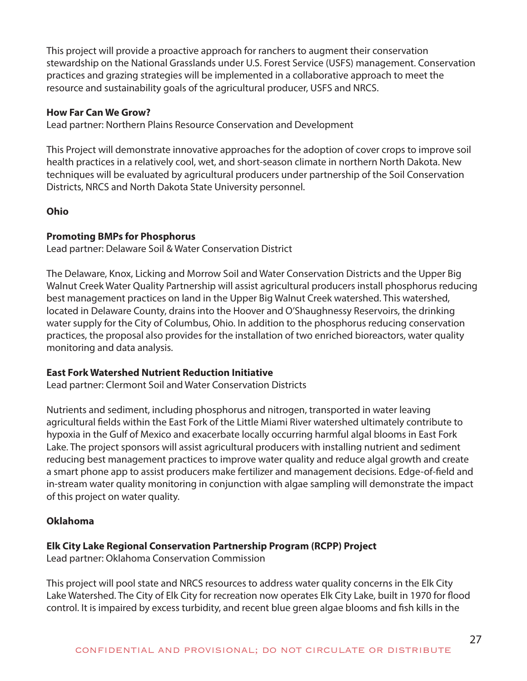This project will provide a proactive approach for ranchers to augment their conservation stewardship on the National Grasslands under U.S. Forest Service (USFS) management. Conservation practices and grazing strategies will be implemented in a collaborative approach to meet the resource and sustainability goals of the agricultural producer, USFS and NRCS.

#### **How Far Can We Grow?**

Lead partner: Northern Plains Resource Conservation and Development

This Project will demonstrate innovative approaches for the adoption of cover crops to improve soil health practices in a relatively cool, wet, and short-season climate in northern North Dakota. New techniques will be evaluated by agricultural producers under partnership of the Soil Conservation Districts, NRCS and North Dakota State University personnel.

## **Ohio**

#### **Promoting BMPs for Phosphorus**

Lead partner: Delaware Soil & Water Conservation District

The Delaware, Knox, Licking and Morrow Soil and Water Conservation Districts and the Upper Big Walnut Creek Water Quality Partnership will assist agricultural producers install phosphorus reducing best management practices on land in the Upper Big Walnut Creek watershed. This watershed, located in Delaware County, drains into the Hoover and O'Shaughnessy Reservoirs, the drinking water supply for the City of Columbus, Ohio. In addition to the phosphorus reducing conservation practices, the proposal also provides for the installation of two enriched bioreactors, water quality monitoring and data analysis.

#### **East Fork Watershed Nutrient Reduction Initiative**

Lead partner: Clermont Soil and Water Conservation Districts

Nutrients and sediment, including phosphorus and nitrogen, transported in water leaving agricultural fields within the East Fork of the Little Miami River watershed ultimately contribute to hypoxia in the Gulf of Mexico and exacerbate locally occurring harmful algal blooms in East Fork Lake. The project sponsors will assist agricultural producers with installing nutrient and sediment reducing best management practices to improve water quality and reduce algal growth and create a smart phone app to assist producers make fertilizer and management decisions. Edge-of-field and in-stream water quality monitoring in conjunction with algae sampling will demonstrate the impact of this project on water quality.

## **Oklahoma**

#### **Elk City Lake Regional Conservation Partnership Program (RCPP) Project**

Lead partner: Oklahoma Conservation Commission

This project will pool state and NRCS resources to address water quality concerns in the Elk City Lake Watershed. The City of Elk City for recreation now operates Elk City Lake, built in 1970 for flood control. It is impaired by excess turbidity, and recent blue green algae blooms and fish kills in the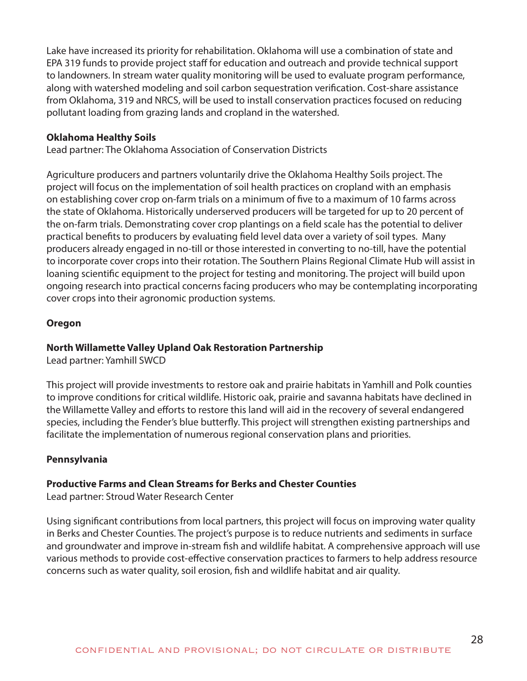Lake have increased its priority for rehabilitation. Oklahoma will use a combination of state and EPA 319 funds to provide project staff for education and outreach and provide technical support to landowners. In stream water quality monitoring will be used to evaluate program performance, along with watershed modeling and soil carbon sequestration verification. Cost-share assistance from Oklahoma, 319 and NRCS, will be used to install conservation practices focused on reducing pollutant loading from grazing lands and cropland in the watershed.

## **Oklahoma Healthy Soils**

Lead partner: The Oklahoma Association of Conservation Districts

Agriculture producers and partners voluntarily drive the Oklahoma Healthy Soils project. The project will focus on the implementation of soil health practices on cropland with an emphasis on establishing cover crop on-farm trials on a minimum of five to a maximum of 10 farms across the state of Oklahoma. Historically underserved producers will be targeted for up to 20 percent of the on-farm trials. Demonstrating cover crop plantings on a field scale has the potential to deliver practical benefits to producers by evaluating field level data over a variety of soil types. Many producers already engaged in no-till or those interested in converting to no-till, have the potential to incorporate cover crops into their rotation. The Southern Plains Regional Climate Hub will assist in loaning scientific equipment to the project for testing and monitoring. The project will build upon ongoing research into practical concerns facing producers who may be contemplating incorporating cover crops into their agronomic production systems.

#### **Oregon**

#### **North Willamette Valley Upland Oak Restoration Partnership**

Lead partner: Yamhill SWCD

This project will provide investments to restore oak and prairie habitats in Yamhill and Polk counties to improve conditions for critical wildlife. Historic oak, prairie and savanna habitats have declined in the Willamette Valley and efforts to restore this land will aid in the recovery of several endangered species, including the Fender's blue butterfly. This project will strengthen existing partnerships and facilitate the implementation of numerous regional conservation plans and priorities.

## **Pennsylvania**

#### **Productive Farms and Clean Streams for Berks and Chester Counties**

Lead partner: Stroud Water Research Center

Using significant contributions from local partners, this project will focus on improving water quality in Berks and Chester Counties. The project's purpose is to reduce nutrients and sediments in surface and groundwater and improve in-stream fish and wildlife habitat. A comprehensive approach will use various methods to provide cost-effective conservation practices to farmers to help address resource concerns such as water quality, soil erosion, fish and wildlife habitat and air quality.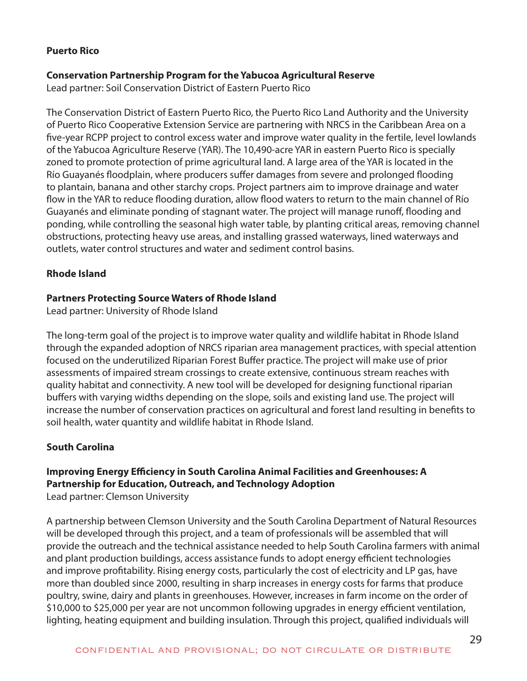#### **Puerto Rico**

#### **Conservation Partnership Program for the Yabucoa Agricultural Reserve**

Lead partner: Soil Conservation District of Eastern Puerto Rico

The Conservation District of Eastern Puerto Rico, the Puerto Rico Land Authority and the University of Puerto Rico Cooperative Extension Service are partnering with NRCS in the Caribbean Area on a five-year RCPP project to control excess water and improve water quality in the fertile, level lowlands of the Yabucoa Agriculture Reserve (YAR). The 10,490-acre YAR in eastern Puerto Rico is specially zoned to promote protection of prime agricultural land. A large area of the YAR is located in the Río Guayanés floodplain, where producers suffer damages from severe and prolonged flooding to plantain, banana and other starchy crops. Project partners aim to improve drainage and water flow in the YAR to reduce flooding duration, allow flood waters to return to the main channel of Río Guayanés and eliminate ponding of stagnant water. The project will manage runoff, flooding and ponding, while controlling the seasonal high water table, by planting critical areas, removing channel obstructions, protecting heavy use areas, and installing grassed waterways, lined waterways and outlets, water control structures and water and sediment control basins.

#### **Rhode Island**

#### **Partners Protecting Source Waters of Rhode Island**

Lead partner: University of Rhode Island

The long-term goal of the project is to improve water quality and wildlife habitat in Rhode Island through the expanded adoption of NRCS riparian area management practices, with special attention focused on the underutilized Riparian Forest Buffer practice. The project will make use of prior assessments of impaired stream crossings to create extensive, continuous stream reaches with quality habitat and connectivity. A new tool will be developed for designing functional riparian buffers with varying widths depending on the slope, soils and existing land use. The project will increase the number of conservation practices on agricultural and forest land resulting in benefits to soil health, water quantity and wildlife habitat in Rhode Island.

#### **South Carolina**

## **Improving Energy Efficiency in South Carolina Animal Facilities and Greenhouses: A Partnership for Education, Outreach, and Technology Adoption**

Lead partner: Clemson University

A partnership between Clemson University and the South Carolina Department of Natural Resources will be developed through this project, and a team of professionals will be assembled that will provide the outreach and the technical assistance needed to help South Carolina farmers with animal and plant production buildings, access assistance funds to adopt energy efficient technologies and improve profitability. Rising energy costs, particularly the cost of electricity and LP gas, have more than doubled since 2000, resulting in sharp increases in energy costs for farms that produce poultry, swine, dairy and plants in greenhouses. However, increases in farm income on the order of \$10,000 to \$25,000 per year are not uncommon following upgrades in energy efficient ventilation, lighting, heating equipment and building insulation. Through this project, qualified individuals will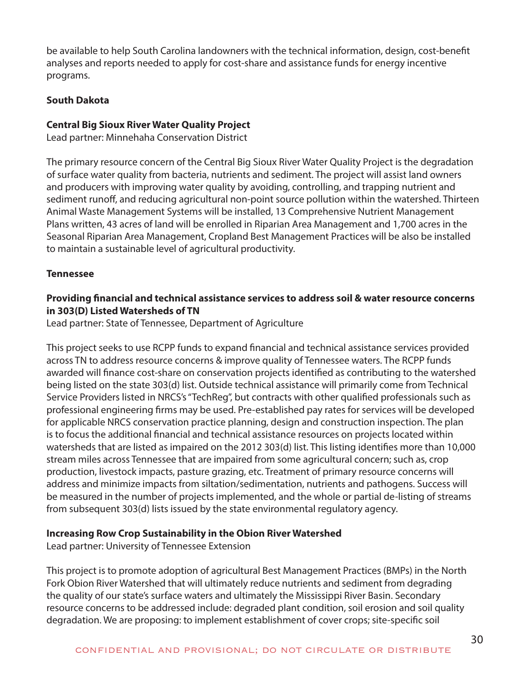be available to help South Carolina landowners with the technical information, design, cost-benefit analyses and reports needed to apply for cost-share and assistance funds for energy incentive programs.

## **South Dakota**

#### **Central Big Sioux River Water Quality Project**

Lead partner: Minnehaha Conservation District

The primary resource concern of the Central Big Sioux River Water Quality Project is the degradation of surface water quality from bacteria, nutrients and sediment. The project will assist land owners and producers with improving water quality by avoiding, controlling, and trapping nutrient and sediment runoff, and reducing agricultural non-point source pollution within the watershed. Thirteen Animal Waste Management Systems will be installed, 13 Comprehensive Nutrient Management Plans written, 43 acres of land will be enrolled in Riparian Area Management and 1,700 acres in the Seasonal Riparian Area Management, Cropland Best Management Practices will be also be installed to maintain a sustainable level of agricultural productivity.

#### **Tennessee**

## **Providing financial and technical assistance services to address soil & water resource concerns in 303(D) Listed Watersheds of TN**

Lead partner: State of Tennessee, Department of Agriculture

This project seeks to use RCPP funds to expand financial and technical assistance services provided across TN to address resource concerns & improve quality of Tennessee waters. The RCPP funds awarded will finance cost-share on conservation projects identified as contributing to the watershed being listed on the state 303(d) list. Outside technical assistance will primarily come from Technical Service Providers listed in NRCS's "TechReg", but contracts with other qualified professionals such as professional engineering firms may be used. Pre-established pay rates for services will be developed for applicable NRCS conservation practice planning, design and construction inspection. The plan is to focus the additional financial and technical assistance resources on projects located within watersheds that are listed as impaired on the 2012 303(d) list. This listing identifies more than 10,000 stream miles across Tennessee that are impaired from some agricultural concern; such as, crop production, livestock impacts, pasture grazing, etc. Treatment of primary resource concerns will address and minimize impacts from siltation/sedimentation, nutrients and pathogens. Success will be measured in the number of projects implemented, and the whole or partial de-listing of streams from subsequent 303(d) lists issued by the state environmental regulatory agency.

## **Increasing Row Crop Sustainability in the Obion River Watershed**

Lead partner: University of Tennessee Extension

This project is to promote adoption of agricultural Best Management Practices (BMPs) in the North Fork Obion River Watershed that will ultimately reduce nutrients and sediment from degrading the quality of our state's surface waters and ultimately the Mississippi River Basin. Secondary resource concerns to be addressed include: degraded plant condition, soil erosion and soil quality degradation. We are proposing: to implement establishment of cover crops; site-specific soil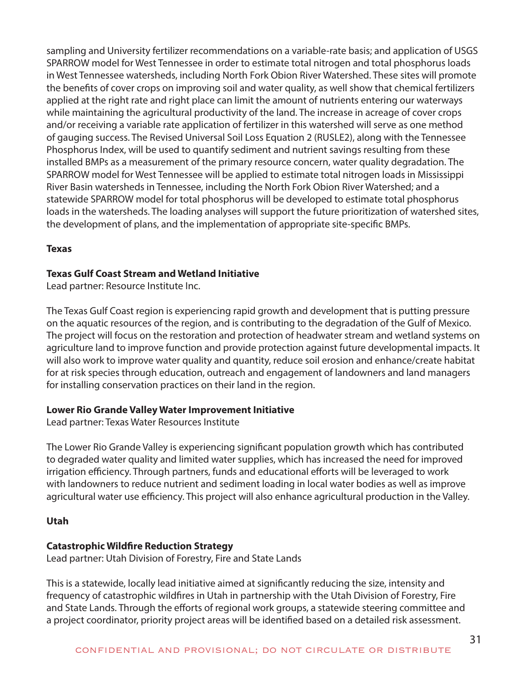sampling and University fertilizer recommendations on a variable-rate basis; and application of USGS SPARROW model for West Tennessee in order to estimate total nitrogen and total phosphorus loads in West Tennessee watersheds, including North Fork Obion River Watershed. These sites will promote the benefits of cover crops on improving soil and water quality, as well show that chemical fertilizers applied at the right rate and right place can limit the amount of nutrients entering our waterways while maintaining the agricultural productivity of the land. The increase in acreage of cover crops and/or receiving a variable rate application of fertilizer in this watershed will serve as one method of gauging success. The Revised Universal Soil Loss Equation 2 (RUSLE2), along with the Tennessee Phosphorus Index, will be used to quantify sediment and nutrient savings resulting from these installed BMPs as a measurement of the primary resource concern, water quality degradation. The SPARROW model for West Tennessee will be applied to estimate total nitrogen loads in Mississippi River Basin watersheds in Tennessee, including the North Fork Obion River Watershed; and a statewide SPARROW model for total phosphorus will be developed to estimate total phosphorus loads in the watersheds. The loading analyses will support the future prioritization of watershed sites, the development of plans, and the implementation of appropriate site-specific BMPs.

#### **Texas**

#### **Texas Gulf Coast Stream and Wetland Initiative**

Lead partner: Resource Institute Inc.

The Texas Gulf Coast region is experiencing rapid growth and development that is putting pressure on the aquatic resources of the region, and is contributing to the degradation of the Gulf of Mexico. The project will focus on the restoration and protection of headwater stream and wetland systems on agriculture land to improve function and provide protection against future developmental impacts. It will also work to improve water quality and quantity, reduce soil erosion and enhance/create habitat for at risk species through education, outreach and engagement of landowners and land managers for installing conservation practices on their land in the region.

## **Lower Rio Grande Valley Water Improvement Initiative**

Lead partner: Texas Water Resources Institute

The Lower Rio Grande Valley is experiencing significant population growth which has contributed to degraded water quality and limited water supplies, which has increased the need for improved irrigation efficiency. Through partners, funds and educational efforts will be leveraged to work with landowners to reduce nutrient and sediment loading in local water bodies as well as improve agricultural water use efficiency. This project will also enhance agricultural production in the Valley.

## **Utah**

## **Catastrophic Wildfire Reduction Strategy**

Lead partner: Utah Division of Forestry, Fire and State Lands

This is a statewide, locally lead initiative aimed at significantly reducing the size, intensity and frequency of catastrophic wildfires in Utah in partnership with the Utah Division of Forestry, Fire and State Lands. Through the efforts of regional work groups, a statewide steering committee and a project coordinator, priority project areas will be identified based on a detailed risk assessment.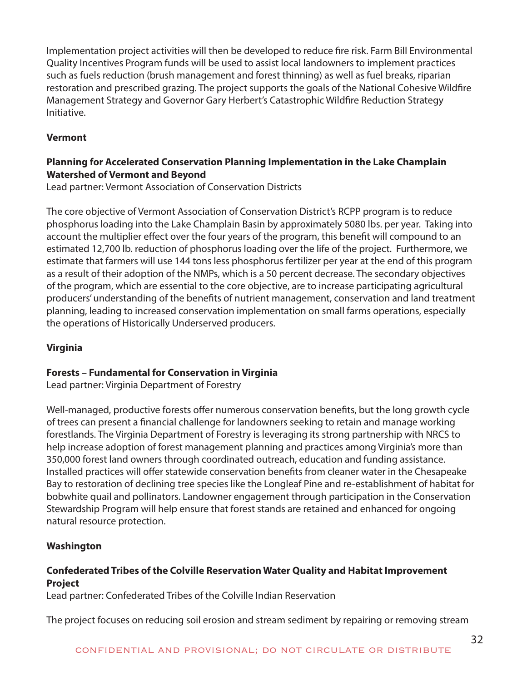Implementation project activities will then be developed to reduce fire risk. Farm Bill Environmental Quality Incentives Program funds will be used to assist local landowners to implement practices such as fuels reduction (brush management and forest thinning) as well as fuel breaks, riparian restoration and prescribed grazing. The project supports the goals of the National Cohesive Wildfire Management Strategy and Governor Gary Herbert's Catastrophic Wildfire Reduction Strategy Initiative.

## **Vermont**

## **Planning for Accelerated Conservation Planning Implementation in the Lake Champlain Watershed of Vermont and Beyond**

Lead partner: Vermont Association of Conservation Districts

The core objective of Vermont Association of Conservation District's RCPP program is to reduce phosphorus loading into the Lake Champlain Basin by approximately 5080 lbs. per year. Taking into account the multiplier effect over the four years of the program, this benefit will compound to an estimated 12,700 lb. reduction of phosphorus loading over the life of the project. Furthermore, we estimate that farmers will use 144 tons less phosphorus fertilizer per year at the end of this program as a result of their adoption of the NMPs, which is a 50 percent decrease. The secondary objectives of the program, which are essential to the core objective, are to increase participating agricultural producers' understanding of the benefits of nutrient management, conservation and land treatment planning, leading to increased conservation implementation on small farms operations, especially the operations of Historically Underserved producers.

## **Virginia**

## **Forests – Fundamental for Conservation in Virginia**

Lead partner: Virginia Department of Forestry

Well-managed, productive forests offer numerous conservation benefits, but the long growth cycle of trees can present a financial challenge for landowners seeking to retain and manage working forestlands. The Virginia Department of Forestry is leveraging its strong partnership with NRCS to help increase adoption of forest management planning and practices among Virginia's more than 350,000 forest land owners through coordinated outreach, education and funding assistance. Installed practices will offer statewide conservation benefits from cleaner water in the Chesapeake Bay to restoration of declining tree species like the Longleaf Pine and re-establishment of habitat for bobwhite quail and pollinators. Landowner engagement through participation in the Conservation Stewardship Program will help ensure that forest stands are retained and enhanced for ongoing natural resource protection.

## **Washington**

## **Confederated Tribes of the Colville Reservation Water Quality and Habitat Improvement Project**

Lead partner: Confederated Tribes of the Colville Indian Reservation

The project focuses on reducing soil erosion and stream sediment by repairing or removing stream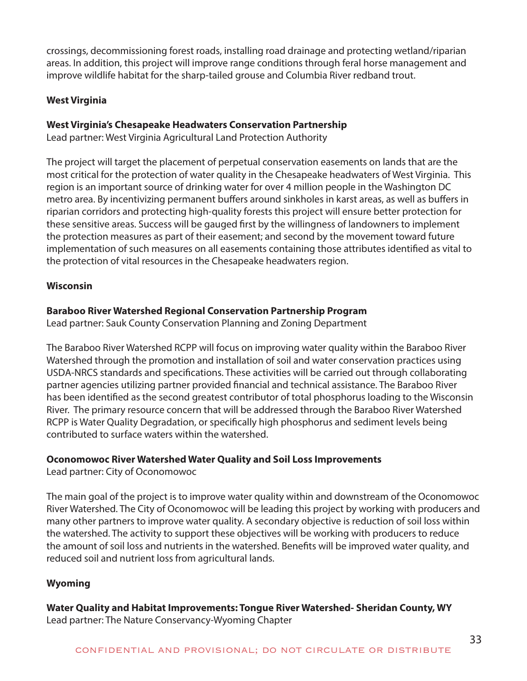crossings, decommissioning forest roads, installing road drainage and protecting wetland/riparian areas. In addition, this project will improve range conditions through feral horse management and improve wildlife habitat for the sharp-tailed grouse and Columbia River redband trout.

## **West Virginia**

## **West Virginia's Chesapeake Headwaters Conservation Partnership**

Lead partner: West Virginia Agricultural Land Protection Authority

The project will target the placement of perpetual conservation easements on lands that are the most critical for the protection of water quality in the Chesapeake headwaters of West Virginia. This region is an important source of drinking water for over 4 million people in the Washington DC metro area. By incentivizing permanent buffers around sinkholes in karst areas, as well as buffers in riparian corridors and protecting high-quality forests this project will ensure better protection for these sensitive areas. Success will be gauged first by the willingness of landowners to implement the protection measures as part of their easement; and second by the movement toward future implementation of such measures on all easements containing those attributes identified as vital to the protection of vital resources in the Chesapeake headwaters region.

## **Wisconsin**

## **Baraboo River Watershed Regional Conservation Partnership Program**

Lead partner: Sauk County Conservation Planning and Zoning Department

The Baraboo River Watershed RCPP will focus on improving water quality within the Baraboo River Watershed through the promotion and installation of soil and water conservation practices using USDA-NRCS standards and specifications. These activities will be carried out through collaborating partner agencies utilizing partner provided financial and technical assistance. The Baraboo River has been identified as the second greatest contributor of total phosphorus loading to the Wisconsin River. The primary resource concern that will be addressed through the Baraboo River Watershed RCPP is Water Quality Degradation, or specifically high phosphorus and sediment levels being contributed to surface waters within the watershed.

## **Oconomowoc River Watershed Water Quality and Soil Loss Improvements**

Lead partner: City of Oconomowoc

The main goal of the project is to improve water quality within and downstream of the Oconomowoc River Watershed. The City of Oconomowoc will be leading this project by working with producers and many other partners to improve water quality. A secondary objective is reduction of soil loss within the watershed. The activity to support these objectives will be working with producers to reduce the amount of soil loss and nutrients in the watershed. Benefits will be improved water quality, and reduced soil and nutrient loss from agricultural lands.

## **Wyoming**

**Water Quality and Habitat Improvements: Tongue River Watershed- Sheridan County, WY**  Lead partner: The Nature Conservancy-Wyoming Chapter